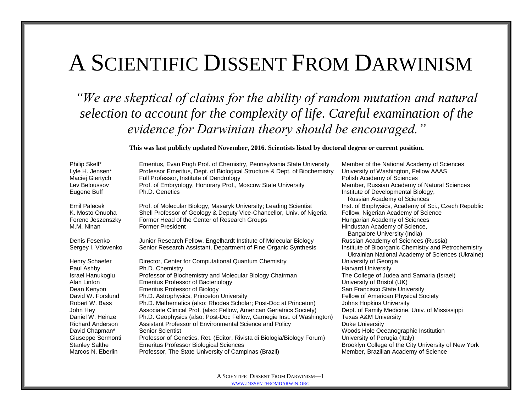## A SCIENTIFIC DISSENT FROM DARWINISM

*"We are skeptical of claims for the ability of random mutation and natural selection to account for the complexity of life. Careful examination of the evidence for Darwinian theory should be encouraged."*

## **This was last publicly updated November, 2016. Scientists listed by doctoral degree** *or* **current position.**

| Philip Skell*                                                      | Emeritus, Evan Pugh Prof. of Chemistry, Pennsylvania State University                                                                                                                                                 | Member of the National Academy of Sciences                                                                                                                                                                                   |
|--------------------------------------------------------------------|-----------------------------------------------------------------------------------------------------------------------------------------------------------------------------------------------------------------------|------------------------------------------------------------------------------------------------------------------------------------------------------------------------------------------------------------------------------|
| Lyle H. Jensen*                                                    | Professor Emeritus, Dept. of Biological Structure & Dept. of Biochemistry                                                                                                                                             | University of Washington, Fellow AAAS                                                                                                                                                                                        |
| Maciej Giertych                                                    | Full Professor, Institute of Dendrology                                                                                                                                                                               | Polish Academy of Sciences                                                                                                                                                                                                   |
| Lev Beloussov                                                      | Prof. of Embryology, Honorary Prof., Moscow State University                                                                                                                                                          | Member, Russian Academy of Natural Sciences                                                                                                                                                                                  |
| Eugene Buff                                                        | Ph.D. Genetics                                                                                                                                                                                                        | Institute of Developmental Biology,                                                                                                                                                                                          |
| Emil Palecek<br>K. Mosto Onuoha<br>Ferenc Jeszenszky<br>M.M. Ninan | Prof. of Molecular Biology, Masaryk University; Leading Scientist<br>Shell Professor of Geology & Deputy Vice-Chancellor, Univ. of Nigeria<br>Former Head of the Center of Research Groups<br><b>Former President</b> | Russian Academy of Sciences<br>Inst. of Biophysics, Academy of Sci., Czech Republic<br>Fellow, Nigerian Academy of Science<br>Hungarian Academy of Sciences<br>Hindustan Academy of Science,<br>Bangalore University (India) |
| Denis Fesenko<br>Sergey I. Vdovenko                                | Junior Research Fellow, Engelhardt Institute of Molecular Biology<br>Senior Research Assistant, Department of Fine Organic Synthesis                                                                                  | Russian Academy of Sciences (Russia)<br>Institute of Bioorganic Chemistry and Petrochemistry<br>Ukrainian National Academy of Sciences (Ukraine)                                                                             |
| Henry Schaefer                                                     | Director, Center for Computational Quantum Chemistry                                                                                                                                                                  | University of Georgia                                                                                                                                                                                                        |
| Paul Ashby                                                         | Ph.D. Chemistry                                                                                                                                                                                                       | <b>Harvard University</b>                                                                                                                                                                                                    |
| Israel Hanukoglu                                                   | Professor of Biochemistry and Molecular Biology Chairman                                                                                                                                                              | The College of Judea and Samaria (Israel)                                                                                                                                                                                    |
| Alan Linton                                                        | <b>Emeritus Professor of Bacteriology</b>                                                                                                                                                                             | University of Bristol (UK)                                                                                                                                                                                                   |
| Dean Kenyon                                                        | <b>Emeritus Professor of Biology</b>                                                                                                                                                                                  | San Francisco State University                                                                                                                                                                                               |
| David W. Forslund                                                  | Ph.D. Astrophysics, Princeton University                                                                                                                                                                              | Fellow of American Physical Society                                                                                                                                                                                          |
| Robert W. Bass                                                     | Ph.D. Mathematics (also: Rhodes Scholar; Post-Doc at Princeton)                                                                                                                                                       | Johns Hopkins University                                                                                                                                                                                                     |
| John Hey                                                           | Associate Clinical Prof. (also: Fellow, American Geriatrics Society)                                                                                                                                                  | Dept. of Family Medicine, Univ. of Mississippi                                                                                                                                                                               |
| Daniel W. Heinze                                                   | Ph.D. Geophysics (also: Post-Doc Fellow, Carnegie Inst. of Washington)                                                                                                                                                | <b>Texas A&amp;M University</b>                                                                                                                                                                                              |
| <b>Richard Anderson</b>                                            | Assistant Professor of Environmental Science and Policy                                                                                                                                                               | Duke University                                                                                                                                                                                                              |
| David Chapman*                                                     | <b>Senior Scientist</b>                                                                                                                                                                                               | Woods Hole Oceanographic Institution                                                                                                                                                                                         |
| Giuseppe Sermonti                                                  | Professor of Genetics, Ret. (Editor, Rivista di Biologia/Biology Forum)                                                                                                                                               | University of Perugia (Italy)                                                                                                                                                                                                |
| <b>Stanley Salthe</b>                                              | <b>Emeritus Professor Biological Sciences</b>                                                                                                                                                                         | Brooklyn College of the City University of New York                                                                                                                                                                          |
| Marcos N. Eberlin                                                  | Professor, The State University of Campinas (Brazil)                                                                                                                                                                  | Member, Brazilian Academy of Science                                                                                                                                                                                         |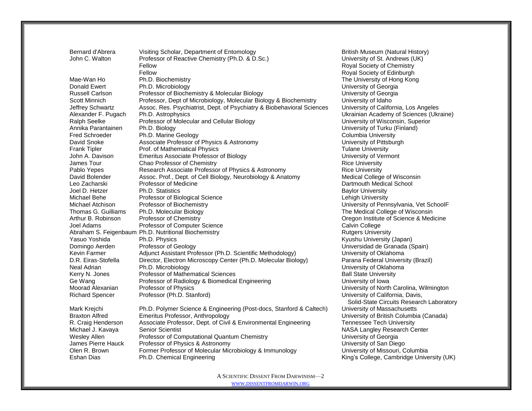| Royal Society of Chemistry<br>Fellow<br>Fellow<br>Royal Society of Edinburgh                                                         |  |
|--------------------------------------------------------------------------------------------------------------------------------------|--|
| Mae-Wan Ho<br>Ph.D. Biochemistry<br>The University of Hong Kong                                                                      |  |
| Donald Ewert<br>Ph.D. Microbiology<br>University of Georgia                                                                          |  |
| Professor of Biochemistry & Molecular Biology<br><b>Russell Carlson</b><br>University of Georgia                                     |  |
| Professor, Dept of Microbiology, Molecular Biology & Biochemistry<br>University of Idaho<br>Scott Minnich                            |  |
| Assoc. Res. Psychiatrist, Dept. of Psychiatry & Biobehavioral Sciences<br>University of California, Los Angeles<br>Jeffrey Schwartz  |  |
| Alexander F. Pugach<br>Ph.D. Astrophysics<br>Ukrainian Academy of Sciences (Ukraine)                                                 |  |
| Ralph Seelke<br>Professor of Molecular and Cellular Biology<br>University of Wisconsin, Superior                                     |  |
| Annika Parantainen<br>Ph.D. Biology<br>University of Turku (Finland)                                                                 |  |
| <b>Fred Schroeder</b><br>Ph.D. Marine Geology<br><b>Columbia University</b>                                                          |  |
| Associate Professor of Physics & Astronomy<br>University of Pittsburgh<br>David Snoke                                                |  |
| Prof. of Mathematical Physics<br><b>Tulane University</b><br><b>Frank Tipler</b>                                                     |  |
| Emeritus Associate Professor of Biology<br>John A. Davison<br>University of Vermont                                                  |  |
| Chao Professor of Chemistry<br>James Tour<br><b>Rice University</b>                                                                  |  |
| Research Associate Professor of Physics & Astronomy<br>Pablo Yepes<br><b>Rice University</b>                                         |  |
| Assoc. Prof., Dept. of Cell Biology, Neurobiology & Anatomy<br>Medical College of Wisconsin<br>David Bolender                        |  |
| Professor of Medicine<br>Leo Zacharski<br>Dartmouth Medical School                                                                   |  |
| Joel D. Hetzer<br>Ph.D. Statistics<br><b>Baylor University</b>                                                                       |  |
| Professor of Biological Science<br>Michael Behe<br>Lehigh University                                                                 |  |
| University of Pennsylvania, Vet SchoolF<br>Professor of Biochemistry<br>Michael Atchison                                             |  |
| The Medical College of Wisconsin<br>Thomas G. Guilliams<br>Ph.D. Molecular Biology                                                   |  |
| Arthur B. Robinson<br>Professor of Chemistry<br>Oregon Institute of Science & Medicine                                               |  |
| Calvin College<br>Joel Adams<br>Professor of Computer Science                                                                        |  |
| Abraham S. Feigenbaum Ph.D. Nutritional Biochemistry<br><b>Rutgers University</b>                                                    |  |
| Yasuo Yoshida<br>Ph.D. Physics<br>Kyushu University (Japan)                                                                          |  |
| Universidad de Granada (Spain)<br>Domingo Aerden<br>Professor of Geology                                                             |  |
| Adjunct Assistant Professor (Ph.D. Scientific Methodology)<br>University of Oklahoma<br>Kevin Farmer                                 |  |
| Director, Electron Microscopy Center (Ph.D. Molecular Biology)<br>D.R. Eiras-Stofella<br>Parana Federal University (Brazil)          |  |
| Ph.D. Microbiology<br>Neal Adrian<br>University of Oklahoma                                                                          |  |
| Professor of Mathematical Sciences<br><b>Ball State University</b><br>Kerry N. Jones                                                 |  |
| Ge Wang<br>Professor of Radiology & Biomedical Engineering<br>University of Iowa                                                     |  |
| Moorad Alexanian<br>Professor of Physics<br>University of North Carolina, Wilmington                                                 |  |
| Professor (Ph.D. Stanford)<br>University of California, Davis,<br><b>Richard Spencer</b><br>Solid-State Circuits Research Laboratory |  |
| Ph.D. Polymer Science & Engineering (Post-docs, Stanford & Caltech)<br>Mark Krejchi<br>University of Massachusetts                   |  |
| Emeritus Professor, Anthropology<br>University of British Columbia (Canada)<br><b>Braxton Alfred</b>                                 |  |
| Associate Professor, Dept. of Civil & Environmental Engineering<br>R. Craig Henderson<br><b>Tennessee Tech University</b>            |  |
| Michael J. Kavaya<br><b>Senior Scientist</b><br>NASA Langley Research Center                                                         |  |
| Professor of Computational Quantum Chemistry<br><b>Wesley Allen</b><br>University of Georgia                                         |  |
| James Pierre Hauck<br>Professor of Physics & Astronomy<br>University of San Diego                                                    |  |
| Former Professor of Molecular Microbiology & Immunology<br>Olen R. Brown<br>University of Missouri, Columbia                         |  |
| King's College, Cambridge University (UK)<br>Eshan Dias<br>Ph.D. Chemical Engineering                                                |  |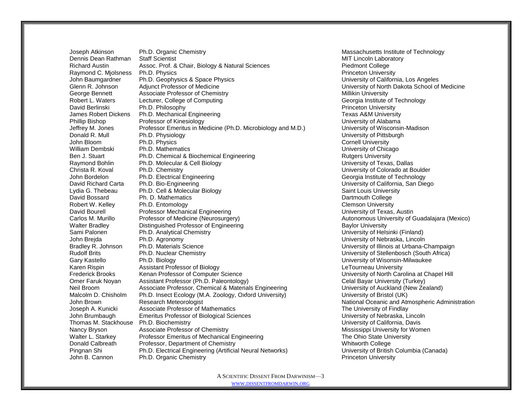Joseph Atkinson Ph.D. Organic Chemistry **Massachusetts Institute of Technology** Massachusetts Institute of Technology Dennis Dean Rathman Staff Scientist MIT Lincoln Laboratory NIT Lincoln Laboratory Richard Austin **Assoc. Prof. & Chair, Biology & Natural Sciences** Piedmont College Raymond C. Miolsness Ph.D. Physics **Princeton University** Princeton University John Baumgardner Ph.D. Geophysics & Space Physics University of California, Los Angeles Glenn R. Johnson Adjunct Professor of Medicine Company Company Company University of North Dakota School of Medicine George Bennett **Associate Professor of Chemistry** Millikin University Millikin University Robert L. Waters **Lecturer, College of Computing Computing Connect Connect Connect Connect Connect Connect Connect Connect Connect Connect Connect Connect Connect Connect Connect Connect Connect Connect Connect Connect Con** David Berlinski Ph.D. Philosophy Princeton University Princeton University James Robert Dickens Ph.D. Mechanical Engineering Texas A&M University Texas A&M University Phillip Bishop **Professor of Kinesiology Professor of Alabama** Professor of Alabama **Professor of Alabama** Jeffrey M. Jones Professor Emeritus in Medicine (Ph.D. Microbiology and M.D.) University of Wisconsin-Madison Donald R. Mull Ph.D. Physiology **Ph.D. Physiology Phenomena Constant Philosophers** University of Pittsburgh John Bloom **Ph.D. Physics** Cornell University Cornell University William Dembski Ph.D. Mathematics **Network Chicago** University of Chicago Ben J. Stuart **Ph.D. Chemical & Biochemical Engineering Rutgers University** Rutgers University Raymond Bohlin Ph.D. Molecular & Cell Biology **Noting the Cell Biology** University of Texas, Dallas Christa R. Koval Ph.D. Chemistry University of Colorado at Boulder John Bordelon **Ph.D. Electrical Engineering Community** Ceorgia Institute of Technology David Richard Carta Ph.D. Bio-Engineering November 2012 1999 November 2012 1999 University of California, San Diego Lydia G. Thebeau Ph.D. Cell & Molecular Biology Saint Louis University Saint Louis University David Bossard **Ph. D. Mathematics College Containers** Dartmouth College Robert W. Kelley **Ph.D. Entomology Ph.D.** Entomology **Clemson University Clemson University** David Bourell Professor Mechanical Engineering University of Texas, Austin Carlos M. Murillo Professor of Medicine (Neurosurgery) Carlos Metal Autonomous University of Guadalajara (Mexico) Walter Bradley **Distinguished Professor of Engineering** Baylor University Baylor University Sami Palonen Ph.D. Analytical Chemistry Chemistry Chemistry University of Helsinki (Finland) John Brejda Ph.D. Agronomy University of Nebraska, Lincoln Bradley R. Johnson Ph.D. Materials Science Natural Communication Communication Champaign Champaign Bradley R. Johnson Ph.D. Materials Science Rudolf Brits **Ph.D. Nuclear Chemistry Computer Chemistry** Chemical Chemical Chemical Chemical Chemical Chemical Chemical Chemical Chemical Chemical Chemical Chemical Chemical Chemical Chemical Chemical Chemical Chemical Ch Gary Kastello **Ph.D. Biology Community Community** Cary Kastello Ph.D. Biology **University of Wisonsin-Milwaukee** Karen Rispin **Assistant Professor of Biology** Letter Assessment Department Professor of Biology Letter Assessment Department Department Assessment Department Department Assessment Department Department Department Departmen Frederick Brooks Kenan Professor of Computer Science Computer Science University of North Carolina at Chapel Hill Omer Faruk Noyan Assistant Professor (Ph.D. Paleontology) Celal Bayar University (Turkey) Neil Broom **Associate Professor, Chemical & Materials Engineering** University of Auckland (New Zealand) Malcolm D. Chisholm Ph.D. Insect Ecology (M.A. Zoology, Oxford University) University of Bristol (UK) John Brown **Research Meteorologist** National Oceanic and Atmospheric Administration Joseph A. Kunicki Associate Professor of Mathematics The University of Findlay John Brumbaugh Emeritus Professor of Biological Sciences Channel Bushell Christine University of Nebraska, Lincoln Thomas M. Stackhouse Ph.D. Biochemistry University of California, Davis Nancy Bryson **Associate Professor of Chemistry** Mississippi University for Women Walter L. Starkey **Professor Emeritus of Mechanical Engineering** The Ohio State University Donald Calbreath Professor, Department of Chemistry<br>
Pingnan Shi Ph.D. Electrical Engineering (Artificial Neural Networks) Whitworth College University of British Columbia (Canada) Pingnan Shi Ph.D. Electrical Engineering (Artificial Neural Networks) John B. Cannon Ph.D. Organic Chemistry **Princeton University** Princeton University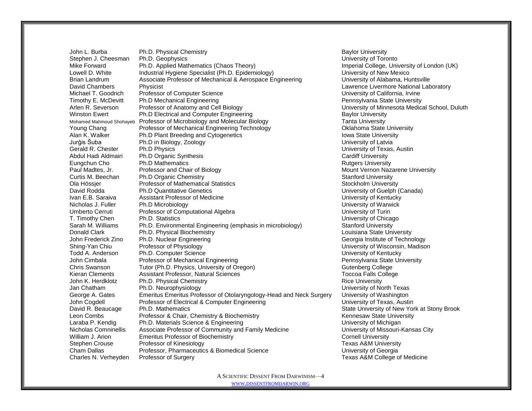John L. Burba **Ph.D. Physical Chemistry Baylor University** Baylor University Stephen J. Cheesman Ph.D. Geophysics Channel Communication Chemical Chemical Chemical Chemical Chemical Chemical Chemical Chemical Chemical Chemical Chemical Chemical Chemical Chemical Chemical Chemical Chemical Chemical C Mike Forward Ph.D. Applied Mathematics (Chaos Theory) Imperial College, University of London (UK) Lowell D. White Industrial Hygiene Specialist (Ph.D. Epidemiology) University of New Mexico Brian Landrum **Associate Professor of Mechanical & Aerospace Engineering** University of Alabama, Huntsville David Chambers Physicist Lawrence Livermore National Laboratory Michael T. Goodrich Professor of Computer Science Network Computer Science University of California, Irvine Timothy E. McDevitt Ph.D Mechanical Engineering<br>
Arlen R. Severson Professor of Anatomy and Cell Biology Channel Pennsylvania State University of Minnesota Medic Arlen R. Severson Professor of Anatomy and Cell Biology North Commences Christen Register of Minnesota Medical School, Duluth Winston Ewert **Ph.D Electrical and Computer Engineering Baylor University** Baylor University Mohamed Mahmoud Shohayeb Professor of Microbiology and Molecular Biology Tannel Tanta University Young Chang **Professor of Mechanical Engineering Technology Professor of Mechanical Engineering Technology Professor of Mechanical Engineering Technology** Alan K. Walker **Ph.D Plant Breeding and Cytogenetics Internal Constructs** Iowa State University Jurģis Šuba Ph.D in Biology, Zoology University of Latvia Gerald R. Chester Ph.D Physics University of Texas, Austin Abdul Hadi Aldmairi Ph.D Organic Synthesis Cardiff University Cardiff University Eungchun Cho Ph.D Mathematics<br>
Paul Madtes, Jr. Professor and Chair of Biology Channel Chair Chair Chair Chair Chair Chair Chair Chair Chair<br>
Mount Vernon Naza Paul Madtes, Jr. **Professor and Chair of Biology** Mount Vernon Nazarene University Curtis M. Beechan Ph.D Organic Chemistry **Stanford University** Stanford University Ola Hössier **Professor of Mathematical Statistics** Stockholm University **Stockholm University** David Rodda Ph.D Quantitative Genetics University of Guelph (Canada) Ivan E.B. Saraiva **Assistant Professor of Medicine** Version Medicine University of Kentucky Nicholas J. Fuller Ph.D Microbiology University of Warwick Umberto Cerruti Professor of Computational Algebra Christian Muslim Christian Muslim University of Turin T. Timothy Chen Ph.D. Statistics University of Chicago Sarah M. Williams Ph.D. Environmental Engineering (emphasis in microbiology) Stanford University **Donald Clark Ph.D. Physical Biochemistry Contract Clark Clark Ph.D. Physical Biochemistry Contract Clark Clark Contract Clark Clark Clark Clark Clark Clark Clark Clark Clark Clark Clark Clark Clark Clark Clark Clark Clark** John Frederick Zino Ph.D. Nuclear Engineering Communication Chroniclear Chronicle Chronicle Chronicle Chronicl<br>
Shing-Yan Chiu Chronicle Professor of Physiology Chronicle Chronicle Chronicle Chronicle Chronicle Chronicle C Shing-Yan Chiu Professor of Physiology **National China China China China China China China China China China China China China China China China China China China China China China China China China China China China China** Todd A. Anderson **Ph.D. Computer Science** Computer Science University of Kentucky John Cimbala **Professor of Mechanical Engineering** Pennsylvania State University Chris Swanson Tutor (Ph.D. Physics, University of Oregon) Gutenberg College College Kieran Clements Assistant Professor, Natural Sciences The College Toccoa Falls College John K. Herdklotz **Ph.D. Physical Chemistry Champion Chemistry** Rice University Jan Chatham Ph.D. Neurophysiology **Phenomic Contract Chatham Ph.D. Neurophysiology University of North Texas** George A. Gates Emeritus Emeritus Professor of Otolaryngology-Head and Neck Surgery University of Washington John Cogdell **Professor of Electrical & Computer Engineering** Computer Headler Books and University of Texas, Austin<br>David R. Beaucage Ph.D. Mathematics Ph.D. Mathematics **Phenomics** State University of New York at Stony Brook Leon Combs **Professor & Chair, Chemistry & Biochemistry** Changes and Mennesaw State University Laraba P. Kendig Ph.D. Materials Science & Engineering University of Michigan University of Michigan Nicholas Comninellis Associate Professor of Community and Family Medicine The University of Missouri-Kansas City William J. Arion **Emeritus Professor of Biochemistry** Cornell University Cornell University Stephen Crouse **Professor of Kinesiology Network Crown Crouse** Texas A&M University Cham Dallas **Professor, Pharmaceutics & Biomedical Science** University of Georgia Charles N. Verheyden Professor of Surgery Texas A&M College of Medicine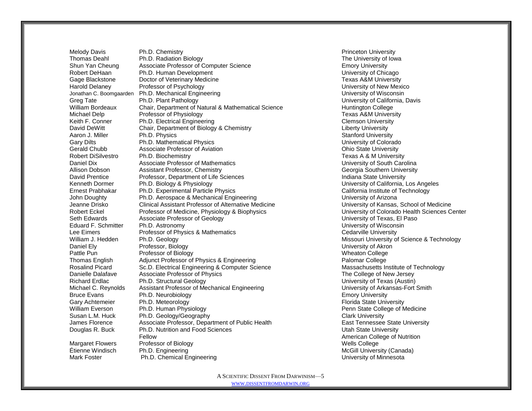Melody Davis **Ph.D. Chemistry Princeton University** Princeton University Thomas Deahl **Ph.D. Radiation Biology Network Contract Contract Contract Contract Contract Ph.D. Radiation Biology** Shun Yan Cheung Associate Professor of Computer Science **Emory Emory University** Robert DeHaan **Ph.D. Human Development Notified Containers** Entertainment **University of Chicago** Gage Blackstone **Doctor of Veterinary Medicine** Texas A&M University **Texas A&M** University Harold Delaney **Professor of Psychology Professor of Psychology Professor of Psychology University of New Mexico** Jonathan C. Boomgaarden Ph.D. Mechanical Engineering University of Wisconsin University of Wisconsin Greg Tate **Ph.D. Plant Pathology Ph.D.** Plant Pathology **Phenomic Philosophers University of California, Davis** William Bordeaux Chair, Department of Natural & Mathematical Science Huntington College Michael Delp **Professor of Physiology Professor of Physiology Texas A&M University** Keith F. Conner Ph.D. Electrical Engineering Clemson University Clemson University David DeWitt Chair, Department of Biology & Chemistry Chair Chemical Cherty University Aaron J. Miller **Ph.D. Physics** Stanford University **Ph.D. Physics** Stanford University Gary Dilts **Ph.D. Mathematical Physics Ph.D. Mathematical Physics Physics Physics University of Colorado** Gerald Chubb Associate Professor of Aviation Ohio State University Ph.D. Biochemistry **Ph.D. Biochemistry Texas A & M University** Texas A & M University Daniel Dix Associate Professor of Mathematics University of South Carolina Allison Dobson **Assistant Professor, Chemistry** Chemical Chemical Chemical Chemical Chemical Chemical Chemical Chemical Chemical Chemical Chemical Chemical Chemical Chemical Chemical Chemical Chemical Chemical Chemical Che David Prentice **Professor, Department of Life Sciences Indiana State University Indiana State University** Kenneth Dormer Ph.D. Biology & Physiology Channel Physiology California, Los Angeles Ernest Prabhakar Ph.D. Experimental Particle Physics California Institute of Technology John Doughty **Ph.D. Aerospace & Mechanical Engineering** Communical Engineering University of Arizona Jeanne Drisko Clinical Assistant Professor of Alternative Medicine University of Kansas, School of Medicine Robert Eckel Professor of Medicine, Physiology & Biophysics University of Colorado Health Sciences Center Seth Edwards **Associate Professor of Geology Associate Professor of Geology University of Texas, El Paso** Eduard F. Schmitter Ph.D. Astronomy University of Wisconsin Lee Eimers **Professor of Physics & Mathematics** Cedarville University Cedarville University William J. Hedden Ph.D. Geology Missouri University of Science & Technology Missouri University of Science & Technology Daniel Ely Professor, Biology University of Akron Pattle Pun **Professor of Biology Pattle Pun** Wheaton College Thomas English Adjunct Professor of Physics & Engineering Palomar College Rosalind Picard Sc.D. Electrical Engineering & Computer Science Massachusetts Institute of Technology Danielle Dalafave Associate Professor of Physics The College of New Jersey Richard Erdlac Ph.D. Structural Geology University of Texas (Austin) Michael C. Reynolds Assistant Professor of Mechanical Engineering Theorem Controller C. Reynolds Arkansas-Fort Smith Bruce Evans **Ph.D. Neurobiology Emory University Emory University** Gary Achtemeier Fh.D. Meteorology Florida State University<br>Florida State University Ph.D. Human Physiology Florida State College of Nulliam Everson Florida State College William Everson **Ph.D. Human Physiology** Penn State College of Medicine Susan L.M. Huck **Ph.D. Geology/Geography Clark University** Clark University James Florence **Associate Professor, Department of Public Health** East Tennessee State University Douglas R. Buck **Ph.D. Nutrition and Food Sciences** Number 2014 10 2014 11: Utah State University Fellow American College of Nutrition Margaret Flowers Professor of Biology<br>
Etienne Windisch Ph.D. Engineering<br>
Etienne Windisch Ph.D. Engineering Etherne Windisch Ph.D. Engineering McGill University (Canada)

Mark Foster **Ph.D. Chemical Engineering Community** Chemical Engineering University of Minnesota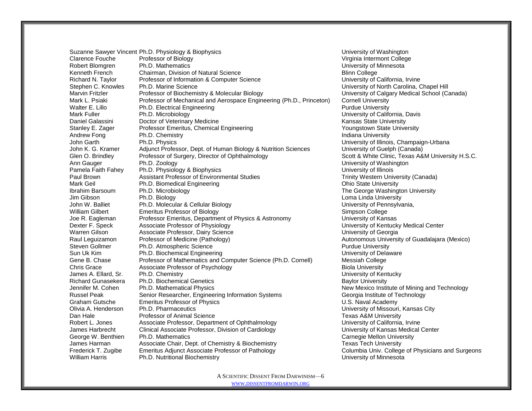Suzanne Sawyer Vincent Ph.D. Physiology & Biophysics **Network Contains a Constanting Constant Constanting Constant** Clarence Fouche Professor of Biology Virginia Intermont College Virginia Intermont College Robert Blomgren Ph.D. Mathematics University of Minnesota Kenneth French Chairman, Division of Natural Science **Blinn College** Blinn College Richard N. Taylor Professor of Information & Computer Science The Music Contract University of California, Irvine Stephen C. Knowles Ph.D. Marine Science New York Carolina, Chapel Hill Carolina, Chapel Hill Marvin Fritzler Professor of Biochemistry & Molecular Biology University of Calgary Medical School (Canada) Mark L. Psiaki Professor of Mechanical and Aerospace Engineering (Ph.D., Princeton) Cornell University Walter E. Lillo **Ph.D. Electrical Engineering** Purdue University Purdue University Mark Fuller Ph.D. Microbiology University of California, Davis Daniel Galassini Corresponding Medicine Control of Veterinary Medicine Corresponding Control of Kansas State University Stanley E. Zager Professor Emeritus, Chemical Engineering The Manuscus Chemical State University Andrew Fong Ph.D. Chemistry **Indiana University** Indiana University John Garth Ph.D. Physics University of Illinois, Champaign-Urbana John K. G. Kramer Adjunct Professor, Dept. of Human Biology & Nutrition Sciences University of Guelph (Canada)<br>Glen O. Brindley Professor of Surgery. Director of Ophthalmology Sciences Scott & White Clinic. Texas A& Glen O. Brindley Professor of Surgery, Director of Ophthalmology Scott & White Clinic, Texas A&M University H.S.C. Ann Gauger Ph.D. Zoology University of Washington Pamela Faith Fahey Ph.D. Physiology & Biophysics Channels Communication Christophersity of Illinois Paul Brown **Assistant Professor of Environmental Studies** Trinity Western University (Canada) Mark Geil **Ph.D. Biomedical Engineering** Communical Engineering Communical Engineering Ohio State University Ibrahim Barsoum Ph.D. Microbiology Network Channel Channel Channel The George Washington University Jim Gibson **Ph.D. Biology Ph.D. Biology** Loma Linda University John W. Balliet Ph.D. Molecular & Cellular Biology **Network Constructs** University of Pennsylvania, William Gilbert **Emeritus Professor of Biology** Simpson College **Simpson College** Joe R. Eagleman Professor Emeritus, Department of Physics & Astronomy University of Kansas Dexter F. Speck Associate Professor of Physiology University of Kentucky Medical Center Warren Gilson **Associate Professor, Dairy Science** Communication and Music University of Georgia Raul Leguizamon Professor of Medicine (Pathology) and the Control of Autonomous University of Guadalajara (Mexico) Steven Gollmer **Ph.D.** Atmospheric Science **Purdue University** Purdue University Sun Uk Kim **Ph.D. Biochemical Engineering** Sun University of Delaware University of Delaware<br>Gene B. Chase Professor of Mathematics and Computer Science (Ph.D. Cornell) Messiah College Gene B. Chase **Professor of Mathematics and Computer Science (Ph.D. Cornell)** Chris Grace **Associate Professor of Psychology Biola University** Biola University James A. Ellard, Sr. Chemistry Chemistry Chemistry Chemistry Chemistry Chemistry of Kentucky Richard Gunasekera Ph.D. Biochemical Genetics **Baylor University** Baylor University Jennifer M. Cohen Ph.D. Mathematical Physics New Mexico Institute of Mining and Technology Russel Peak Senior Researcher, Engineering Information Systems Georgia Institute of Technology Graham Gutsche Emeritus Professor of Physics Channel Communication Control Communication Communication Communication Communication Communication Communication Communication Communication Communication Communication Communi Olivia A. Henderson Ph.D. Pharmaceutics University of Missouri, Kansas City Dan Hale **Professor of Animal Science** Texas A&M University **Professor of Animal Science** Robert L. Jones **Associate Professor, Department of Ophthalmology Network** University of California, Irvine James Harbrecht Clinical Associate Professor, Division of Cardiology Clinical Cuniversity of Kansas Medical Center George W. Benthien Ph.D. Mathematics Carnegie Mellon University Carnegie Mellon University James Harman **Associate Chair, Dept. of Chemistry & Biochemistry** Texas Tech University Frederick T. Zugibe Emeritus Adjunct Associate Professor of Pathology Columbia Univ. College of Physicians and Surgeons William Harris **Ph.D. Nutritional Biochemistry Nutritional Biochemistry University of Minnesota**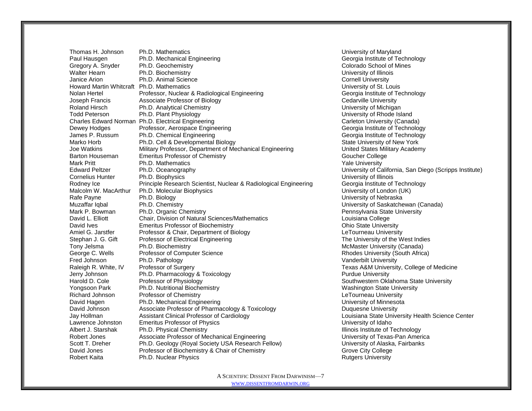Thomas H. Johnson Ph.D. Mathematics University of Maryland Paul Hausgen **Ph.D. Mechanical Engineering Community** Ceorgia Institute of Technology Gregory A. Snyder Ph.D. Geochemistry Colorado School of Mines Walter Hearn **Ph.D. Biochemistry Community** Ph.D. Biochemistry **Network Phenomenon Community** University of Illinois Janice Arion **Ph.D. Animal Science** Cornell University **Cornell University** Howard Martin Whitcraft Ph.D. Mathematics Network Control Control Control Control Control Control Control Control Control Control Control Control Control Control Control Control Control Control Control Control Control Cont Nolan Hertel **Professor, Nuclear & Radiological Engineering** Georgia Institute of Technology Joseph Francis **Associate Professor of Biology** Cedarville University Cedarville University Roland Hirsch **Ph.D. Analytical Chemistry Chamistry Chemistry Chemistry Chemistry Chemistry Chemistry Chemistry** Todd Peterson **Ph.D. Plant Physiology Ph.D. Plant Physiology Phenomena Communisty of Rhode Island** Charles Edward Norman Ph.D. Electrical Engineering Carleton Carleton University (Canada) Dewey Hodges **Professor, Aerospace Engineering** Communication and Ceorgia Institute of Technology<br>
Deministic P. Russum Ph.D. Chemical Engineering Communistic Communistic Ceorgia Institute of Technology Ph.D. Chemical Engineering Georgia Institute of Technology Marko Horb **Ph.D. Cell & Developmental Biology** Number 2014 State University of New York Joe Watkins Military Professor, Department of Mechanical Engineering United States Military Academy Barton Houseman Emeritus Professor of Chemistry County Coucher College Mark Pritt **Ph.D. Mathematics Ph.D. Mathematics Ph.D. All Accords Ph.D. Ph.D. Mathematics Ph.D. Ph.D. Ph.D. Ph.D. Ph.D. Ph.D. Ph.D. Ph.D. Ph.D. Ph.D. Ph.D. Ph.D. Ph.D. Ph.D. Ph.D. Ph.D. Ph.D. Ph.D. Ph.D. Ph.D. Ph.D** Edward Peltzer Ph.D. Oceanography University of California, San Diego (Scripps Institute) Cornelius Hunter Ph.D. Biophysics University of Illinois Rodney Ice **Principle Research Scientist, Nuclear & Radiological Engineering** Georgia Institute of Technology Malcolm W. MacArthur Ph.D. Molecular Biophysics New York Channel Malcolm W. MacArthur Ph.D. Molecular Biophysics Rafe Payne **Ph.D. Biology** Ph.D. Biology **Ph.D. Biology Phenomena Payne Payne Payne Payne Phenomena Phenomena Payne Payne Payne Phenomena Phenomena Phenomena Phenomena Phenomena Phenomena Phenomena Phenomena Phenomena Ph** Muzaffar Iqbal Ph.D. Chemistry Ph.D. Chemistry Chemistry Chemistry University of Saskatchewan (Canada)<br>
Mark P. Bowman Ph.D. Organic Chemistry Chemistry Chemistry Pennsylvania State University Mark P. Bowman Ph.D. Organic Chemistry **Property** Pennsylvania State University David L. Elliott Chair, Division of Natural Sciences/Mathematics College Louisiana College David Ives **Emeritus Professor of Biochemistry Change Community** Ohio State University Amiel G. Jarstfer Professor & Chair, Department of Biology Chair Chair Chair Chair LeTourneau University Stephan J. G. Gift Professor of Electrical Engineering The University of the West Indies Tony Jelsma **Ph.D. Biochemistry McMaster University (Canada)** McMaster University (Canada) George C. Wells Professor of Computer Science **Research 2016** Rhodes University (South Africa) Fred Johnson Ph.D. Pathology Ph.D. Pathology Channel Channel Channel Manderbilt University<br>
Philosopher Professor of Surgery Channel Channel Channel Channel Channel Channel Channel Texas A&M University<br>
Philosopher Philoso Raleigh R. White, IV Professor of Surgery Texas A&M University, College of Medicine Jerry Johnson **Ph.D. Pharmacology & Toxicology**  Purdue University Purdue University Harold D. Cole **Professor of Physiology Network College Southwestern Oklahoma State University** Yongsoon Park **Ph.D. Nutritional Biochemistry** Washington State University **Washington State University** Richard Johnson **Professor of Chemistry** Chemistry **Richard Johnson LeTourneau University LeTourneau University** David Hagen **Ph.D. Mechanical Engineering Community** Christian Muniversity of Minnesota David Johnson **Associate Professor of Pharmacology & Toxicology** Duquesne University Jay Hollman **Assistant Clinical Professor of Cardiology Louisiana State University Health Science Center** Lawrence Johnston **Emeritus Professor of Physics** Communication Christian Christian Christian Christian Christian Albert J. Starshak Ph.D. Physical Chemistry **Illinois Institute of Technology Illinois Institute of Technology** Robert Jones **Associate Professor of Mechanical Engineering** Communical University of Texas-Pan America Scott T. Dreher Ph.D. Geology (Royal Society USA Research Fellow) University of Alaska, Fairbanks David Jones **Professor of Biochemistry & Chair of Chemistry Grove City College** Robert Kaita **Ruth Ph.D. Nuclear Physics Ruth American** Physics Rutgers University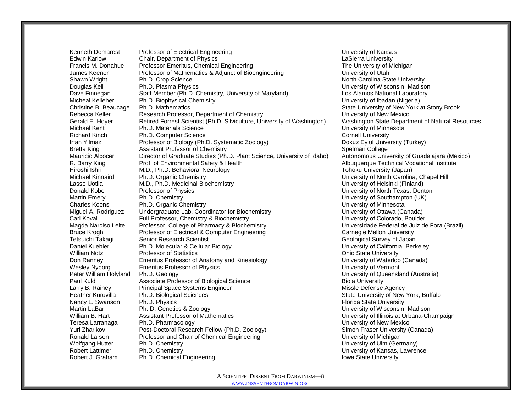Kenneth Demarest Professor of Electrical Engineering Network Channel Burkersity of Kansas Edwin Karlow Chair, Department of Physics LaSierra University Francis M. Donahue Professor Emeritus, Chemical Engineering The The University of Michigan James Keener **Professor of Mathematics & Adjunct of Bioengineering** University of Utah Shawn Wright **Ph.D. Crop Science** North Carolina State University **Ph.D. Crop Science** North Carolina State University Douglas Keil Ph.D. Plasma Physics University of Wisconsin, Madison Dave Finnegan Staff Member (Ph.D. Chemistry, University of Maryland) Los Alamos National Laboratory Micheal Kelleher Ph.D. Biophysical Chemistry University of Ibadan (Nigeria) Christine B. Beaucage Ph.D. Mathematics State University of New York at Stony Brook Rebecca Keller **Research Professor, Department of Chemistry** Chemistry **Research Professor, Department of Chemistry** Chemistry **University of New Mexico** Gerald E. Hoyer **Retired Forrest Scientist (Ph.D. Silviculture, University of Washington)** Washington State Department of Natural Resources Michael Kent **Ph.D. Materials Science** Communication Communication Christens of Minnesota Richard Kinch **Ph.D. Computer Science** Ph.D. Computer Science Cornell University<br> **The Ph.D. Computer Science Cornell University**<br> **Phono Ph.D. Systematic Zoology** Computer Cornell University<br>
Dokuz Evlul Unive Professor of Biology (Ph.D. Systematic Zoology) Dokuz Eylul University (Turkey) Bretta King **Assistant Professor of Chemistry** Spelman College **Spelman College** Mauricio Alcocer Director of Graduate Studies (Ph.D. Plant Science, University of Idaho) Autonomous University of Guadalajara (Mexico) R. Barry King Prof. of Environmental Safety & Health Albuquerque Technical Vocational Institute Hiroshi Ishii **M.D., Ph.D. Behavioral Neurology** The Communication of the Tohoku University (Japan) Michael Kinnaird Ph.D. Organic Chemistry University of North Carolina, Chapel Hill Lasse Uotila **M.D., Ph.D. Medicinal Biochemistry N.D.** Medicinal Biochemistry **University of Helsinki (Finland)** Donald Kobe Professor of Physics University of North Texas, Denton Martin Emery **Ph.D. Chemistry Ph.D. Chemistry Community** Chemical Chemistry of Southampton (UK) Charles Koons **Ph.D. Organic Chemistry Charles Charles Charles Chemistry Charles Charles Charles Charles Charles Charles Charles Charles Charles Charles Charles Charles Charles Charles Charles Charles Charles Charles Charl** Miguel A. Rodriguez Undergraduate Lab. Coordinator for Biochemistry Theorem Conservative Canada) Carl Koval Full Professor, Chemistry & Biochemistry University of Colorado, Boulder Magda Narciso Leite Professor, College of Pharmacy & Biochemistry Chronic College and Magda Celeral de Juiz de Fora (Brazil) Bruce Krogh Professor of Electrical & Computer Engineering Carnegie Mellon University Tetsuichi Takagi Senior Research Scientist Geological Survey of Japan Daniel Kuebler **Ph.D. Molecular & Cellular Biology Notation Community Cellular Biology University of California, Berkeley** William Notz **Professor of Statistics Containers** Ohio State University Don Ranney Emeritus Professor of Anatomy and Kinesiology University of Waterloo (Canada) Wesley Nyborg **Emeritus Professor of Physics** Communication Control Christen Muniversity of Vermont Peter William Holyland Ph.D. Geology North Communication Communication Communication Communication Ph.D. Geology Paul Kuld **Associate Professor of Biological Science Biola Biola University** Biola University Larry B. Rainey **Principal Space Systems Engineer** Missle Defense Agency Missle Defense Agency Heather Kuruvilla Ph.D. Biological Sciences State University of New York, Buffalo Nancy L. Swanson Ph.D. Physics Florida State University Florida State University Martin LaBar Ph. D. Genetics & Zoology University of Wisconsin, Madison William B. Hart **Assistant Professor of Mathematics** University of Illinois at Urbana-Champaign Teresa Larranaga Ph.D. Pharmacology **New York Construction Construction** University of New Mexico Yuri Zharikov **Post-Doctoral Research Fellow (Ph.D. Zoology)** Simon Fraser University (Canada) Ronald Larson **Professor and Chair of Chemical Engineering** Chair Chair Chair Chemical Engineering **Profession** University of Michigan Wolfgang Hutter Ph.D. Chemistry Chamber 2008 and the University of Ulm (Germany) Robert Lattimer **Ph.D. Chemistry Chamistic Community** Chemistry Chemistry Chemistry of Kansas, Lawrence Robert J. Graham Ph.D. Chemical Engineering **Iowa State University** Iowa State University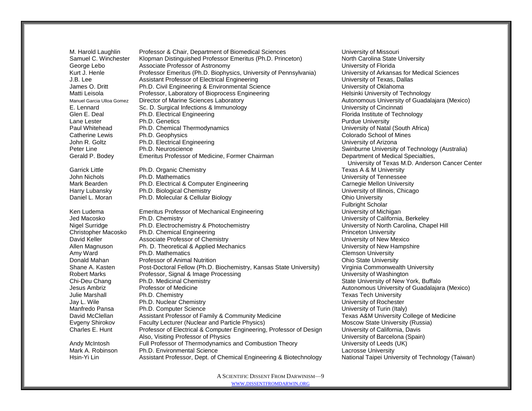M. Harold Laughlin Professor & Chair, Department of Biomedical Sciences University of Missouri Samuel C. Winchester Klopman Distinguished Professor Emeritus (Ph.D. Princeton) North Carolina State University George Lebo **Associate Professor of Astronomy** Charles and Museum University of Florida Kurt J. Henle Professor Emeritus (Ph.D. Biophysics, University of Pennsylvania) University of Arkansas for Medical Sciences J.B. Lee **Assistant Professor of Electrical Engineering** Communication Christens in Muniversity of Texas, Dallas James O. Dritt **Ph.D. Civil Engineering & Environmental Science** Communisty of Oklahoma Matti Leisola **Professor, Laboratory of Bioprocess Engineering** Helsinki University of Technology Manuel Garcia Ulloa Gomez Director of Marine Sciences Laboratory **Autonomous University of Guadalajara (Mexico)** E. Lennard Sc. D. Surgical Infections & Immunology Channel Burgical University of Cincinnati Glen E. Deal **Ph.D. Electrical Engineering** Florida Institute of Technology Lane Lester **Example 2** Ph.D. Genetics **Purdue University**<br>
Paul Whitehead Ph.D. Chemical Thermodynamics **Pure 1999** Purdue University of Natal (South Africa) Paul Whitehead Ph.D. Chemical Thermodynamics Catherine Lewis Ph.D. Geophysics **Colorado School of Mines** Colorado School of Mines John R. Goltz **Ph.D. Electrical Engineering** Communication Communication Communication Communication Communication Peter Line Ph.D. Neuroscience<br>
Gerald P. Bodev Emeritus Professor of Medicine. Former Chairman Summen Department of Medical Specialties. Gerald P. Bodev Emeritus Professor of Medicine, Former Chairman Garrick Little **Ph.D. Organic Chemistry Texas A & M University Texas A & M University** John Nichols Ph.D. Mathematics University of Tennessee Mark Bearden **Ph.D. Electrical & Computer Engineering** Carnegie Mellon University Harry Lubansky Ph.D. Biological Chemistry University of Illinois, Chicago Daniel L. Moran Ph.D. Molecular & Cellular Biology Channel Channel Chio University Ken Ludema **Emeritus Professor of Mechanical Engineering** Communical Engineering University of Michigan Jed Macosko **Ph.D. Chemistry Ph.P.** Chemistry & Photochemistry **Nickel Community Community Community** University of California, Berkeley<br>Nigel Surridge Ph.D. Electrochemistry & Photochemistry **Nickel Community Community Co** Nigel Surridge Ph.D. Electrochemistry & Photochemistry Christopher Macosko Ph.D. Chemical Engineering Princeton University Princeton University David Keller **Associate Professor of Chemistry** Number 2012 10:00 New Mexico Allen Magnuson Ph. D. Theoretical & Applied Mechanics New York Christopher Magnuson Ph. D. Theoretical & Applied Mechanics Amy Ward **Ph.D. Mathematics Clemson University** Clemson University Donald Mahan **Professor of Animal Nutrition**<br>
Shane A. Kasten Post-Doctoral Fellow (Ph.D. Biochemistry. Kansas State University) Virginia Commonwealth University Shane A. Kasten Post-Doctoral Fellow (Ph.D. Biochemistry, Kansas State University) Robert Marks **Robert Marks** Professor, Signal & Image Processing<br>
Chi-Deu Chang Ph.D. Medicinal Chemistry<br>
Chi-Deu Chang Ph.D. Medicinal Chemistry Chi-Deu Chang Ph.D. Medicinal Chemistry State University of New York, Buffalo Jesus Ambriz **Professor of Medicine** Autonomous University of Guadalajara (Mexico) Julie Marshall **Ph.D. Chemistry Champion Community** Texas Tech University **Texas Tech University** Jay L. Wile **Ph.D. Nuclear Chemistry Champion Chemistry** University of Rochester Manfredo Pansa Ph.D. Computer Science University of Turin (Italy) David McClellan **Assistant Professor of Family & Community Medicine** Texas A&M University College of Medicine Evgeny Shirokov Faculty Lecturer (Nuclear and Particle Physics) Moscow State University (Russia) Charles E. Hunt Professor of Electrical & Computer Engineering, Professor of Design University of California, Davis Also, Visiting Professor of Physics University of Barcelona (Spain) Andy McIntosh Full Professor of Thermodynamics and Combustion Theory University of Leeds (UK) Mark A. Robinson **Ph.D. Environmental Science** Lacrosse University Lacrosse University

University of Texas M.D. Anderson Cancer Center Fulbright Scholar Hsin-Yi Lin Assistant Professor, Dept. of Chemical Engineering & Biotechnology National Taipei University of Technology (Taiwan)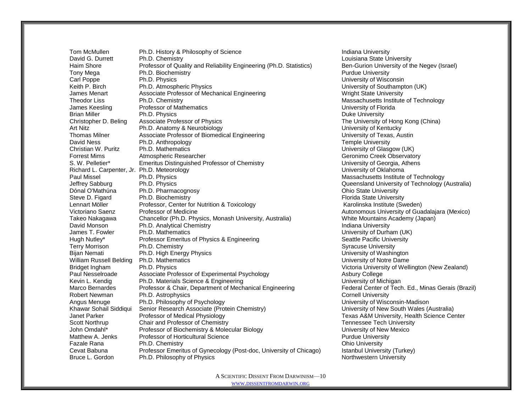Tom McMullen **Ph.D. History & Philosophy of Science Indiana University Indiana University** David G. Durrett Ph.D. Chemistry **Ph.D. Chemistry** Louisiana State University Haim Shore Professor of Quality and Reliability Engineering (Ph.D. Statistics) Ben-Gurion University of the Negev (Israel) Tony Mega **Ph.D. Biochemistry Purdue University** Purdue University **Purdue University** Carl Poppe Ph.D. Physics Ph.D. Physics Carl Poppe Ph.D. Physics Ph.D. Physics Ph.D. Physics Ph.D. Physics Ph.D. Physics Ph.D. Physics Ph.D. Physics Ph.D. Physics Ph.D. Physics Ph.D. Physics Ph.D. Physics Ph.D. Physics Ph.D Keith P. Birch **Ph.D.** Atmospheric Physics **Ph.D. Atmospheric Physics** Company **University of Southampton (UK)** James Menart **Associate Professor of Mechanical Engineering** Wright State University Theodor Liss **Ph.D. Chemistry Chamber 2006** Chemistry Chemistry Massachusetts Institute of Technology James Keesling Professor of Mathematics University of Florida Brian Miller **Ph.D. Physics Ph.D. Physics Ph.D. Physics Ph.D. Physics Ph.D. Physics Ph.D. Physics Ph.D. Physics Ph.D. Physics Physics Physics Physics Physics Physics Physics Physics Physics** Christopher D. Beling Associate Professor of Physics The University of Hong Kong (China) Art Nitz **Example 20 Ph.D. Anatomy & Neurobiology New York Controllery Controllery** University of Kentucky Thomas Milner **Associate Professor of Biomedical Engineering** Communication University of Texas, Austin David Ness Ph.D. Anthropology Temple University Ph.D. Mathematics **Phenomics Phenomic Phenomic Phenomic Phenomic Phenomic Phenomic Phenomic Phenomic Phenomic Phenomic Phenomic Phenomic Phenomic Phenomic Phenomic Phenomic Phenomic Phenomic Phenomic Phenomic Phenomic Ph** Forrest Mims **Atmospheric Researcher Geronimo Creek Observatory** Geronimo Creek Observatory S. W. Pelletier\* Emeritus Distinguished Professor of Chemistry **Example 20 Final According Contact** University of Georgia, Athens Richard L. Carpenter, Jr. Ph.D. Meteorology University of Oklahoma University of Oklahoma Paul Missel **Ph.D. Physics** Ph.D. Physics **Massachusetts Institute of Technology Massachusetts Institute of Technology** Jeffrey Sabburg Ph.D. Physics Queensland University of Technology (Australia) Dónal O'Mathúna Ph.D. Pharmacognosy **Dónal O'Mathúna** Ph.D. Pharmacognosy **Dónal Dónal Dónal O'Mathúna** Ph.D. Pharmacognosy Steve D. Figard Ph.D. Biochemistry Florida State University Florida State University Lennart Möller **Professor, Center for Nutrition & Toxicology Nutrition 1** Karolinska Institute (Sweden) Victoriano Saenz Professor of Medicine **Autonomous University of Guadalajara** (Mexico) Takeo Nakagawa Chancellor (Ph.D. Physics, Monash University, Australia) White Mountains Academy (Japan) David Monson **Ph.D. Analytical Chemistry Indiana University** Indiana University James T. Fowler **Ph.D. Mathematics Example 20** intervals and the University of Durham (UK) Hugh Nutley\* Professor Emeritus of Physics & Engineering Seattle Pacific University Terry Morrison **Ph.D. Chemistry Physics** Chemistry Syracuse University<br>
Bijan Nemati Ph.D. High Energy Physics **Syracuse Syracuse University of Washington** Bijan Nemati Ph.D. High Energy Physics William Russell Belding Ph.D. Mathematics **Noting 1988** University of Notre Dame Bridget Ingham Ph.D. Physics **Ph.D. Physics** Victoria University of Wellington (New Zealand) Paul Nesselroade Associate Professor of Experimental Psychology **Associate Associate** Professor of Experimental Psychology Kevin L. Kendig Ph.D. Materials Science & Engineering<br>Marco Bernardes Professor & Chair, Department of Mechanical Engineering Federal Center of Tech. Ed., Minas Gerais (Brazil) Marco Bernardes Professor & Chair, Department of Mechanical Engineering Robert Newman Ph.D. Astrophysics Cornell University Cornell University Angus Menuge Ph.D. Philosophy of Psychology Network Channel Burns and Muniversity of Wisconsin-Madison Khawar Sohail Siddiqui Senior Research Associate (Protein Chemistry) University of New South Wales (Australia) Janet Parker Professor of Medical Physiology **Texas A&M University, Health Science Center** Scott Northrup Chair and Professor of Chemistry Tennessee Tech University John Omdahl\* Professor of Biochemistry & Molecular Biology Channel Bushess University of New Mexico Matthew A. Jenks Professor of Horticultural Science **Purdue University** Purdue University Fazale Rana **Ph.D. Chemistry Changes** Ph.D. Chemistry Changes **Ph.D. Chemistry Changes** Ph.D. Chemistry Changes **Changes** Changes **Ph.D. Chemistry** Changes **Ph.D. Chemistry** Changes **Ph.D. Chemistry** Changes **Ph.D. Chemist** Cevat Babuna Professor Emeritus of Gynecology (Post-doc, University of Chicago) Istanbul University (Turkey) Bruce L. Gordon **Ph.D. Philosophy of Physics** Northwestern University Northwestern University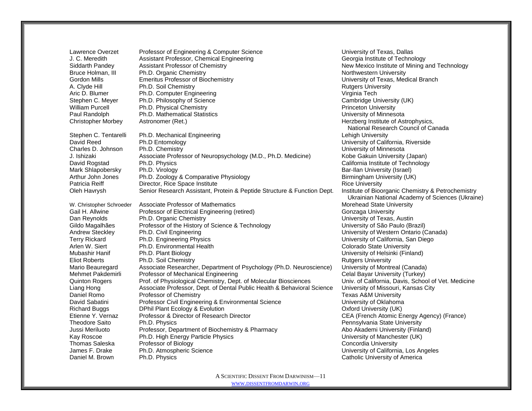Lawrence Overzet Professor of Engineering & Computer Science **Network Computer Science** University of Texas, Dallas J. C. Meredith **Assistant Professor, Chemical Engineering** Georgia Institute of Technology Bruce Holman, III Ph.D. Organic Chemistry Gordon Mills Emeritus Professor of Biochemistry University of Texas, Medical Branch A. Clyde Hill **Ph.D. Soil Chemistry Community** Rutgers University Rutgers University Aric D. Blumer **Ph.D. Computer Engineering Computer Computer Computer Computer Computer Computer Computer Computer Computer Computer Computer Computer Computer Computer Computer Computer Computer Computer Computer Computer** Stephen C. Meyer Ph.D. Philosophy of Science Cambridge University (UK) William Purcell **Ph.D. Physical Chemistry Princeton University** Princeton University Paul Randolph Ph.D. Mathematical Statistics University of Minnesota Christopher Morbey Astronomer (Ret.) Astronomer (Ret.) and Astrophysics, example and the Merzberg Institute of Astrophysics,

Stephen C. Tentarelli Ph.D. Mechanical Engineering Lehigh University Lehigh University David Reed Ph.D Entomology University of California, Riverside Charles D. Johnson Ph.D. Chemistry Charles Charles D. Johnson Ph.D. Chemistry Charles Charles Charles Charles Charles Charles Charles Charles Charles Charles Charles Charles Charles Charles Charles Charles Charles Charles J. Ishizaki **Associate Professor of Neuropsychology (M.D., Ph.D. Medicine)** Kobe Gakuin University (Japan) David Rogstad Ph.D. Physics California Institute of Technology Mark Shlapobersky Ph.D. Virology Bar-Ilan University (Israel) Arthur John Jones Ph.D. Zoology & Comparative Physiology Birmingham University (UK) Patricia Reiff **Director, Rice Space Institute Rice University** Rice University Oleh Havrysh Senior Research Assistant, Protein & Peptide Structure & Function Dept. Institute of Bioorganic Chemistry & Petrochemistry

W. Christopher Schroeder Associate Professor of Mathematics More Morehead State University Gail H. Allwine **Professor of Electrical Engineering (retired)** Gonzaga University Dan Reynolds Ph.D. Organic Chemistry University of Texas, Austin Gildo Magalhães Professor of the History of Science & Technology Chiversity of São Paulo (Brazil) Andrew Steckley Ph.D. Civil Engineering Chronic Canada Bushell Bushell Bushell University of Western Ontario (Canada) Terry Rickard Ph.D. Engineering Physics University of California, San Diego Arlen W. Siert **Ph.D. Environmental Health** Colorado State University **Ph.D. Environmental Health** Colorado State University Mubashir Hanif Ph.D. Plant Biology Nubersity of Helsinki (Finland) Eliot Roberts **Ph.D.** Soil Chemistry **Rutgers University** Rutgers University Mario Beauregard Associate Researcher, Department of Psychology (Ph.D. Neuroscience) University of Montreal (Canada) Mehmet Pakdemirli Professor of Mechanical Engineering Celal Bayar University (Turkey) Quinton Rogers Prof. of Physiological Chemistry, Dept. of Molecular Biosciences Univ. of California, Davis, School of Vet. Medicine Liang Hong Associate Professor, Dept. of Dental Public Health & Behavioral Science University of Missouri, Kansas City Daniel Romo **Professor of Chemistry Chemistry** Texas A&M University David Sabatini Professor Civil Engineering & Environmental Science **The Club Conventsion Civil Annul** Diversity of Oklahoma Richard Buggs **DPhil Plant Ecology & Evolution** Contract Contract Contract Contract Oxford University (UK) Etienne Y. Vernaz Professor & Director of Research Director CEA (French Atomic Energy Agency) (France) Theodore Saito Ph.D. Physics Pennsylvania State University Jussi Meriluoto Professor, Department of Biochemistry & Pharmacy Abo Akademi University (Finland) Kay Roscoe **Ph.D. High Energy Particle Physics** New York University of Manchester (UK) Thomas Saleska Professor of Biology Concordia University<br>Thomas Saleska Ph.D. Atmospheric Science Concordia University of Californi Ph.D. Atmospheric Science **Fig. 2018** University of California, Los Angeles Daniel M. Brown Ph.D. Physics Catholic University of America Catholic University of America

Siddarth Pandey Assistant Professor of Chemistry **New Mexico Institute of Mining and Technology**<br>
Bruce Holman. III Ph.D. Organic Chemistry **New York Chemistry** Northwestern University National Research Council of Canada Ukrainian National Academy of Sciences (Ukraine)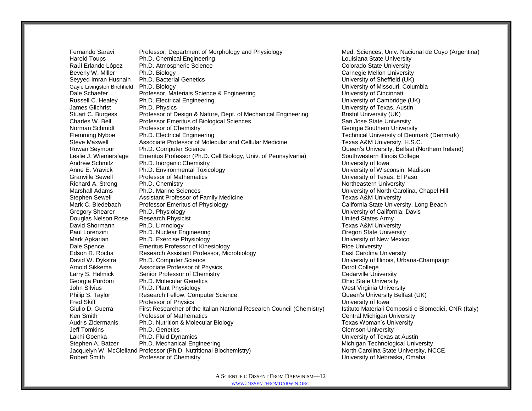Fernando Saravi Professor, Department of Morphology and Physiology Med. Sciences, Univ. Nacional de Cuyo (Argentina) Harold Toups **Ph.D. Chemical Engineering**<br>
Raúl Erlando López Ph.D. Atmospheric Science<br>
Colorado State University Raúl Erlando López Ph.D. Atmospheric Science<br>Beverly W. Miller Ph.D. Biology Beverly W. Miller **Ph.D. Biology Carnegie Mellon University** Carnegie Mellon University Seyyed Imran Husnain Ph.D. Bacterial Genetics University of Sheffield (UK) Gayle Livingston Birchfield Ph.D. Biology National Communication Columbia Communication Columbia Columbia Columbia Dale Schaefer **Professor, Materials Science & Engineering Community Containst Containering** Development Containering Russell C. Healey Ph.D. Electrical Engineering Cambridge (UK) University of Cambridge (UK) James Gilchrist Ph.D. Physics University of Texas, Austin Stuart C. Burgess Professor of Design & Nature, Dept. of Mechanical Engineering Bristol University (UK) Charles W. Bell Professor Emeritus of Biological Sciences San Jose State University Norman Schmidt Professor of Chemistry Chemistry Chemistry Chemistry Georgia Southern University Flemming Nyboe Ph.D. Electrical Engineering Technical University of Denmark (Denmark) Steve Maxwell **Associate Professor of Molecular and Cellular Medicine** Texas A&M University, H.S.C. Rowan Seymour Ph.D. Computer Science<br>
Leslie J. Wiemerslage Emeritus Professor (Ph.D. Cell Biology, Univ. of Pennsylvania) Southwestern Illinois College Leslie J. Wiemerslage Emeritus Professor (Ph.D. Cell Biology, Univ. of Pennsylvania) Andrew Schmitz Ph.D. Inorganic Chemistry<br>
Anne E. Vravick Ph.D. Environmental Toxicology<br>
Anne E. Vravick Ph.D. Environmental Toxicology Granville Sewell Professor of Mathematics University of Texas, El Paso Richard A. Strong Ph.D. Chemistry Northeastern University Northeastern University Marshall Adams Ph.D. Marine Sciences University of North Carolina, Chapel Hill Stephen Sewell **Assistant Professor of Family Medicine** Texas A&M University Mark C. Biedebach Professor Emeritus of Physiology California State University, Long Beach Gregory Shearer Ph.D. Physiology University of California, Davis Douglas Nelson Rose Research Physicist United States Army David Shormann Ph.D. Limnology **Texas A&M University** Ph.D. Limnology Paul Lorenzini Ph.D. Nuclear Engineering Channel Channel Channel Channel Channel Channel Channel Channel Channel Channel Channel Channel Channel Channel Channel Channel Channel Channel Channel Channel Channel Channel Chann Mark Apkarian Ph.D. Exercise Physiology University of New Mexico Dale Spence **Emeritus Professor of Kinesiology Example 2 Rice University** Rice University Edson R. Rocha **Research Assistant Professor, Microbiology East Carolina University East Carolina University** David W. Dykstra Ph.D. Computer Science Champaign Champaign Champaign Champaign University of Illinois, Urbana-Champaign Arnold Sikkema **Associate Professor of Physics** Dordt College **Dordt College** Larry S. Helmick Senior Professor of Chemistry Cedarville University Cedarville University Georgia Purdom Ph.D. Molecular Genetics **Contained According to Contain Contained According Contained According C** John Silvius **Ph.D. Plant Physiology** West Virginia University **Ph.D. Plant Physiology** West Virginia University Philip S. Taylor **Research Fellow, Computer Science** Computer According the Cueen's University Belfast (UK) Fred Skiff **Exercise** Professor of Physics<br>Giulio D. Guerra First Researcher of the Italian National Research Council (Chemistry) Istituto Materiali Compositi e Biomedici. CNR (Italy) Giulio D. Guerra First Researcher of the Italian National Research Council (Chemistry) Ken Smith **Professor of Mathematics** Central Michigan University **Central Michigan University** Audris Zidermanis Ph.D. Nutrition & Molecular Biology **Number 2018** Texas Woman's University Jeff Tomkins Ph.D. Genetics Clemson University Lakhi Goenka Ph.D. Fluid Dynamics Channel Business Channel Business University of Texas at Austin Stephen A. Batzer Ph.D. Mechanical Engineering Michigan Technological University Jacquelyn W. McClelland Professor (Ph.D. Nutritional Biochemistry) North Carolina State University, NCCE Robert Smith Professor of Chemistry **Professor of Chemistry** Chemical Chemical Chemical Chemical Chemical Chemical Chemical Chemical Chemical Chemical Chemical Chemical Chemical Chemical Chemical Chemical Chemical Chemical

University of Wisconsin, Madison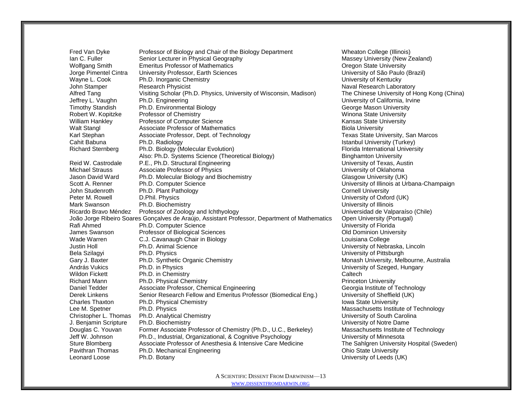Fred Van Dyke Professor of Biology and Chair of the Biology Department Wheaton College (Illinois)<br>
Ian C. Fuller Senior Lecturer in Physical Geography<br>
Massey University (New Zealand) Ian C. Fuller Senior Lecturer in Physical Geography Wolfgang Smith Emeritus Professor of Mathematics **Construction Construction Construction** Oregon State University Jorge Pimentel Cintra University Professor, Earth Sciences University of São Paulo (Brazil) Wayne L. Cook Ph.D. Inorganic Chemistry Network Chemistry Chemistry Chemistry Chemistry Book Dhiversity of Kentucky John Stamper **Research Physicist** Naval Research Laboratory **Naval Research Laboratory Naval Research Laboratory** Alfred Tang Visiting Scholar (Ph.D. Physics, University of Wisconsin, Madison) The Chinese University of Hong Kong (China) Jeffrey L. Vaughn Ph.D. Engineering University of California, Irvine Timothy Standish Ph.D. Environmental Biology Channel Communication Channel George Mason University Robert W. Kopitzke Professor of Chemistry Windows Number of Winona State University William Hankley **Professor of Computer Science** Computer Science Kansas State University Walt Stangl **Associate Professor of Mathematics Biola University** Biola University Karl Stephan **Associate Professor, Dept. of Technology** Texas State University, San Marcos Cahit Babuna Ph.D. Radiology **Istanbul University (Turkey)** Cahit Babuna Ph.D. Radiology Richard Sternberg Ph.D. Biology (Molecular Evolution) Florida International University Also: Ph.D. Systems Science (Theoretical Biology) Binghamton University Reid W. Castrodale P.E., Ph.D. Structural Engineering The Content of Texas, Austin Michael Strauss **Associate Professor of Physics** Michael **Michael Strauss** University of Oklahoma Jason David Ward Ph.D. Molecular Biology and Biochemistry Glasgow University (UK) Scott A. Renner Ph.D. Computer Science Computer Science University of Illinois at Urbana-Champaign John Studenroth Ph.D. Plant Pathology Cornell University Cornell University Peter M. Rowell **D.Phil. Physics D.Phil. Physics COMPLITE:** University of Oxford (UK) Mark Swanson **Ph.D. Biochemistry Community** Charles and Christian University of Illinois Ricardo Bravo Méndez Professor of Zoology and Ichthyology New York Chile Brave Chile Universidad de Valparaíso (Chile) João Jorge Ribeiro Soares Gonçalves de Araújo, Assistant Professor, Department of Mathematics Open University (Portugal) Rafi Ahmed **Ph.D. Computer Science Ph.D. Computer Science Ph.D. Computer Science Ph.D. Computer Science Ph.D. Computer Science Ph.D. Computer Science Ph.D. Computer Science Ph.D. Computer Science** James Swanson Professor of Biological Sciences Old Dominion University Wade Warren **C.J. Cavanaugh Chair in Biology** Louisiana College Louisiana College Justin Holl **Ph.D. Animal Science The Contract Contract Contract Contract Contract Contract Contract Contract Contract Contract Contract Contract Contract Contract Contract Contract Contract Contract Contract Contract Co** Bela Szilagyi Ph.D. Physics University of Pittsburgh Gary J. Baxter **Start Communisty Ph.D. Synthetic Organic Chemistry Monash University, Melbourne, Australia**<br>András Vukics Andres Ph.D. in Physics **Monash University of Szeged. Hungary** András Vukics Ph.D. in Physics University of Szeged, Hungary Wildon Fickett **Ph.D.** in Chemistry **Caltech Ph.D.** in Chemistry **Caltech** Richard Mann **Ph.D. Physical Chemistry Princeton University** Princeton University Daniel Tedder **Associate Professor, Chemical Engineering** Georgia Institute of Technology Derek Linkens Senior Research Fellow and Emeritus Professor (Biomedical Eng.) University of Sheffield (UK) Charles Thaxton **Ph.D. Physical Chemistry Internal Chemistry** Internal Physical Chemistry **Internal Physical Chemistry** Lee M. Spetner **Ph.D. Physics Massachusetts Institute of Technology Phenomena Communist Communist Communist Communist Communist Communist Communist Communist Communist Communist Communist Communist Communist Communist Co** Christopher L. Thomas Ph.D. Analytical Chemistry Christopher University of South Carolina J. Benjamin Scripture Ph.D. Biochemistry University of Notre Dame Douglas C. Youvan Former Associate Professor of Chemistry (Ph.D., U.C., Berkeley) Massachusetts Institute of Technology Jeff W. Johnson Ph.D., Industrial, Organizational, & Cognitive Psychology University of Minnesota Sture Blomberg **Associate Professor of Anesthesia & Intensive Care Medicine** The Sahlgren University Hospital (Sweden) Pavithran Thomas Ph.D. Mechanical Engineering Channel China Chio State University Leonard Loose Ph.D. Botany University of Leeds (UK)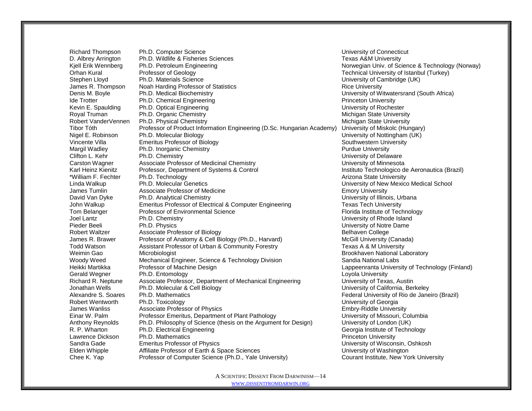Richard Thompson Ph.D. Computer Science Computer Science Computer Science Computer Science Computer Science Computer Science Computer Science Computer Science Computer Science Computer Science Computer Science Computer Sci D. Albrey Arrington Ph.D. Wildlife & Fisheries Sciences Texas A&M University Kjell Erik Wennberg Ph.D. Petroleum Engineering Norwegian Univ. of Science & Technology (Norway) Orhan Kural Professor of Geology **Technical University of Istanbul (Turkey)** Technical University of Istanbul (Turkey) Stephen Lloyd **Ph.D. Materials Science Ph.D. Materials Science Ph.D. Phaterials Science** Ph.D. Phaterials Science **Phaterials Phaterials University of Cambridge (UK)** James R. Thompson Noah Harding Professor of Statistics **Rice Example 2018** Rice University Denis M. Boyle **Ph.D. Medical Biochemistry Ph.D. And Africal Biochemistry University of Witwatersrand (South Africa)** Ide Trotter **Ph.D. Chemical Engineering** Princeton University Princeton University Kevin E. Spaulding Ph.D. Optical Engineering Network Control of Rochester University of Rochester Royal Truman Ph.D. Organic Chemistry **Nichigan State University** Michigan State University Robert VanderVennen Ph.D. Physical Chemistry<br>Tibor Tóth Professor of Product Information Engineering (D.Sc. Hungarian Academy) University of Miskolc (Hungary) Tibor Tóth Professor of Product Information Engineering (D.Sc. Hungarian Academy) Nigel E. Robinson Ph.D. Molecular Biology **Nigel Accord Control Control Control** UNIVersity of Nottingham (UK) Vincente Villa Control Control Control Control Control Control Control Control Control Control Control Control Vincente Villa Emeritus Professor of Biology Margil Wadley **Ph.D. Inorganic Chemistry Purdue University** Purdue University Clifton L. Kehr Ph.D. Chemistry University of Delaware Carston Wagner **Associate Professor of Medicinal Chemistry Network University of Minnesota** Karl Heinz Kienitz Professor, Department of Systems & Control **Instituto Technologico de Aeronautica (Brazil)** \*William F. Fechter Ph.D. Technology **Arizona State University** Arizona State University Linda Walkup Ph.D. Molecular Genetics University of New Mexico Medical School James Tumlin **Associate Professor of Medicine** Emother and The Emory University David Van Dyke Ph.D. Analytical Chemistry Chemistry Chemistry David Van Diversity of Illinois, Urbana John Walkup **Emeritus Professor of Electrical & Computer Engineering** Texas Tech University Tom Belanger **Professor of Environmental Science** Florida Institute of Technology Joel Lantz **Ph.D. Chemistry Chamistry Chamistry** Chemistry Chamistry Chemistry Chemistry Chemistry Chemistry Chemistry Chemistry Chemistry Chemistry Chemistry Chemistry Chemistry Chemistry Chemistry Chemistry Chemistry Che Pieder Beeli Ph.D. Physics University of Notre Dame Robert Waltzer **Associate Professor of Biology Belhaven College** Belhaven College James R. Brawer Professor of Anatomy & Cell Biology (Ph.D., Harvard) McGill University (Canada) Todd Watson **Assistant Professor of Urban & Community Forestry** Texas A & M University Weimin Gao **Microbiologist** Brookhaven National Laboratory Woody Weed Mechanical Engineer, Science & Technology Division Sandia National Labs<br>Heikki Martikka Professor of Machine Design Stateshood Bivision Sandia National Univers Heikki Martikka Professor of Machine Design Lappeenranta University of Technology (Finland) Gerald Wegner **Ph.D.** Entomology **Loyola University** Loyola University Richard R. Neptune Associate Professor, Department of Mechanical Engineering University of Texas, Austin Jonathan Wells Ph.D. Molecular & Cell Biology University of California, Berkeley Alexandre S. Soares Ph.D. Mathematics Federal University of Rio de Janeiro (Brazil) Robert Wentworth Ph.D. Toxicology<br>
2009 James Wanliss Associate Professor of Physics<br>
2009 James Wanliss Associate Professor of Physics James Wanliss **Associate Professor of Physics** Einar W. Palm Professor Emeritus, Department of Plant Pathology University of Missouri, Columbia Anthony Reynolds Ph.D. Philosophy of Science (thesis on the Argument for Design) University of London (UK) R. P. Wharton **Ph.D. Electrical Engineering Community** Ceorgia Institute of Technology Lawrence Dickson Ph.D. Mathematics **Princeton University** Princeton University Sandra Gade Emeritus Professor of Physics University of Wisconsin, Oshkosh Elden Whipple **Affiliate Professor of Earth & Space Sciences** University of Washington Chee K. Yap Professor of Computer Science (Ph.D., Yale University) Courant Institute, New York University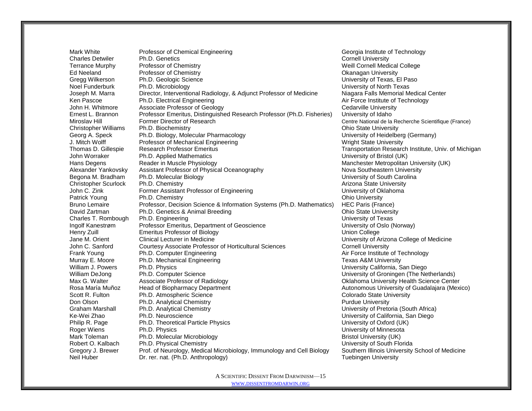Mark White Professor of Chemical Engineering Chemical Andreas Chemical Engineering Georgia Institute of Technology Charles Detwiler **Ph.D. Genetics** Cornell University Cornell University Terrance Murphy Professor of Chemistry **Network Connect Accord Connect Accord College** Weill Cornell Medical College Ed Neeland Professor of Chemistry Okanagan University Gregg Wilkerson **Ph.D. Geologic Science New York Construction Construction** University of Texas, El Paso Noel Funderburk Ph.D. Microbiology North Texas Noel Funderburk Ph.D. Microbiology Joseph M. Marra Director, Interventional Radiology, & Adjunct Professor of Medicine Niagara Falls Memorial Medical Center Ken Pascoe **Ph.D. Electrical Engineering Air Force Institute of Technology Air Force Institute of Technology** John H. Whitmore Associate Professor of Geology Center Communication Cedarville University Ernest L. Brannon Professor Emeritus, Distinguished Research Professor (Ph.D. Fisheries) University of Idaho Miroslav Hill Former Director of Research Centre National de la Recherche Scientifique (France) Christopher Williams Ph.D. Biochemistry Christopher Christopher Williams Ph.D. Biochemistry Georg A. Speck Ph.D. Biology, Molecular Pharmacology Charles Controller Muniversity of Heidelberg (Germany) J. Mitch Wolff **Professor of Mechanical Engineering** Wright State University Wright State University Thomas D. Gillespie Research Professor Emeritus Transportation Research Institute, Univ. of Michigan John Worraker Ph.D. Applied Mathematics University of Bristol (UK) Hans Degens **Reader in Muscle Physiology Reader in Muscle Physiology** Manchester Metropolitan University (UK) Alexander Yankovsky Assistant Professor of Physical Oceanography Nova Southeastern University Begona M. Bradham Ph.D. Molecular Biology North Carolina Communication Carolina Carolina Carolina Christopher Scurlock Ph.D. Chemistry **Arizona State University** Arizona State University John C. Zink Former Assistant Professor of Engineering Theorem Communicative of Oklahoma Patrick Young Ph.D. Chemistry **Ph.D. Chemistry Patrick Young Ph.D. Chemistry Ph.D. Chemistry** Bruno Lemaire Professor, Decision Science & Information Systems (Ph.D. Mathematics) HEC Paris (France) David Zartman **Ph.D. Genetics & Animal Breeding Community** Chio State University Charles T. Rombough Ph.D. Engineering Charles T. Rombough Ph.D. Engineering University of Texas Ingolf Kanestrøm Professor Emeritus, Department of Geoscience University of Oslo (Norway) Henry Zuill Emeritus Professor of Biology Union College Jane M. Orient Clinical Lecturer in Medicine University of Arizona College of Medicine John C. Sanford Courtesy Associate Professor of Horticultural Sciences Cornell University Frank Young **Ph.D. Computer Engineering Air Force Institute of Technology Ph.D. Computer Engineering** Murray E. Moore **Ph.D. Mechanical Engineering Texas A&M University Texas A&M University** William J. Powers Ph.D. Physics **Ph.D. Physics** University California, San Diego William DeJong Ph.D. Computer Science **Ph.D. Computer Science Ph.D. Computer Science Ph.D. Computer Science Ph.D. Computer Science Ph.D. Computer Science Ph.D. Computer Science Ph.D. Computer Science Ph.D. Co** Max G. Walter **Associate Professor of Radiology Canadiate Professor of Radiology Canadiate Science Center** Center Rosa María Muñoz Head of Biopharmacy Department Autonomous University of Guadalajara (Mexico) Scott R. Fulton **Ph.D.** Atmospheric Science Colorado State University Colorado State University Don Olson **Ph.D. Analytical Chemistry Purdue University** Purdue University Graham Marshall Ph.D. Analytical Chemistry Chemistry Chemistry Chemistry Chemistry Chemistry Chemistry Chemistry Ke-Wei Zhao Ph.D. Neuroscience University of California, San Diego Philip R. Page Ph.D. Theoretical Particle Physics Channel Philip R. Page University of Oxford (UK) Roger Wiens **Ph.D. Physics Ph.D. Physics Ph.D. Physics Phenomena Communisty of Minnesota University of Minnesota** Mark Toleman **Ph.D. Molecular Microbiology** Bristol University (UK) Robert O. Kalbach Ph.D. Physical Chemistry North Chemistry Chemistry Chiversity of South Florida Gregory J. Brewer Prof. of Neurology, Medical Microbiology, Immunology and Cell Biology Southern Illinois University School of Medicine Neil Huber **Dr. rer. nat. (Ph.D. Anthropology)** Neil Huber **Tuebingen University**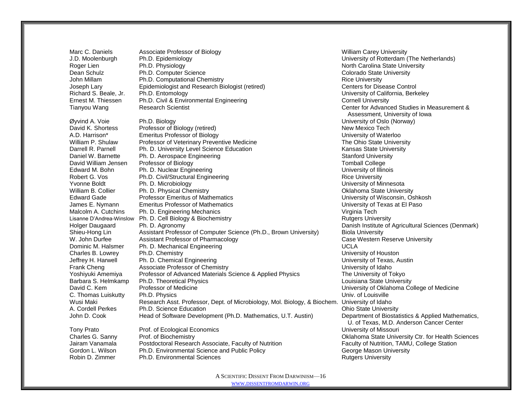Marc C. Daniels **Associate Professor of Biology** Marc C. Daniels Milliam Carey University<br>
Villiam Carey University of Rotterdam (*Ph.D. Epidemiology* Marc 2001) J.D. Moolenburgh Ph.D. Epidemiology University of Rotterdam (The Netherlands) Roger Lien **Ph.D. Physiology** North Carolina State University North Carolina State University Dean Schulz **Ph.D. Computer Science Colorado State University** Colorado State University John Millam **Ph.D. Computational Chemistry Rice University** Rice University Joseph Lary **Epidemiologist and Research Biologist (retired)** Centers for Disease Control Richard S. Beale, Jr. Ph.D. Entomology University of California, Berkeley Ernest M. Thiessen Franch Civil & Environmental Engineering Cornell Cornell University<br>
Tianyou Wang Center for Advanch Scientist

Øyvind A. Voie Ph.D. Biology University of Oslo (Norway) David K. Shortess Professor of Biology (retired) New Mexico Tech New Mexico Tech A.D. Harrison\* Emeritus Professor of Biology University of Waterloo William P. Shulaw Professor of Veterinary Preventive Medicine The Ohio State University Darrell R. Parnell Ph. D. University Level Science Education Channel Communisty Kansas State University Daniel W. Barnette Ph. D. Aerospace Engineering Stanford University Stanford University David William Jensen Professor of Biology Tomball College Edward M. Bohn Ph. D. Nuclear Engineering University of Illinois Robert G. Vos **Ph.D. Civil/Structural Engineering Community Community Rice University** Rice University Yvonne Boldt **Ph. D. Microbiology Ph. Alternative Control** Ph. D. Microbiology **University of Minnesota** William B. Collier Ph. D. Physical Chemistry **Network Chemistry College Chemistry** Oklahoma State University Edward Gade Professor Emeritus of Mathematics University of Wisconsin, Oshkosh James E. Nymann Emeritus Professor of Mathematics **National Contract Contract Contract Contract Contract Contract** Contract Contract Contract Contract Contract Contract Contract Contract Contract Contract Contract Contract Malcolm A. Cutchins Ph. D. Engineering Mechanics Virginia Tech Virginia Tech Lisanne D'Andrea-Winslow Ph. D. Cell Biology & Biochemistry Number of Numbers University Rutgers University Holger Daugaard Ph. D. Agronomy Danish Institute of Agricultural Sciences (Denmark) Shieu-Hong Lin Assistant Professor of Computer Science (Ph.D., Brown University) Biola University W. John Durfee Assistant Professor of Pharmacology<br>
Dominic M. Halsmer Ph. D. Mechanical Engineering<br>
UCLA UCLA Dominic M. Halsmer Ph. D. Mechanical Engineering Charles B. Lowrey Ph.D. Chemistry University of Houston Jeffrey H. Harwell Ph. D. Chemical Engineering University of Texas, Austin Frank Cheng **Associate Professor of Chemistry** Manual Associate Professor of Chemistry **Example 2018** University of Idaho Yoshiyuki Amemiya Professor of Advanced Materials Science & Applied Physics The University of Tokyo Barbara S. Helmkamp Ph.D. Theoretical Physics Louisiana State University Louisiana State University David C. Kem Professor of Medicine University of Oklahoma College of Medicine C. Thomas Luiskutty Ph.D. Physics C. Thomas Luiskutty Ph.D. Physics Univ. of Louisville Wusi Maki Research Asst. Professor, Dept. of Microbiology, Mol. Biology, & Biochem. University of Idaho A. Cordell Perkes Ph.D. Science Education **Ph.D. Science Education** Changes Contained Perkes Ohio State University John D. Cook Head of Software Development (Ph.D. Mathematics, U.T. Austin) Department of Biostatistics & Applied Mathematics, Tony Prato Prof. of Ecological Economics University of Missouri

Charles G. Sanny Prof. of Biochemistry Oklahoma State University Ctr. for Health Sciences Jairam Vanamala **Postdoctoral Research Associate, Faculty of Nutrition** Faculty of Nutrition, TAMU, College Station Gordon L. Wilson Ph.D. Environmental Science and Public Policy Chronicle Correspondent Correspondent Correspondent Robin D. Zimmer Ph.D. Environmental Sciences **Rutgers University** Rutgers University

Tianyou Wang **Research Scientist** Center for Advanced Studies in Measurement & Assessment, University of Iowa U. of Texas, M.D. Anderson Cancer Center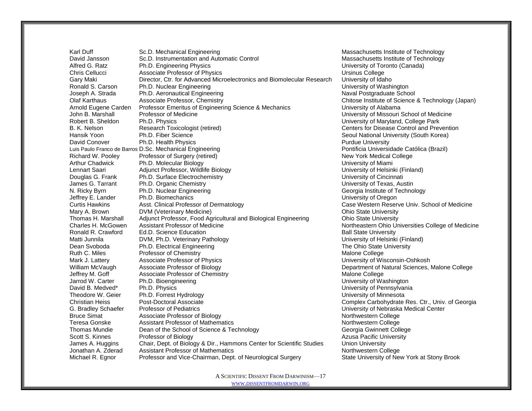Karl Duff Sc.D. Mechanical Engineering Sc.D. Sc.D. Mechanical Engineering Massachusetts Institute of Technology David Jansson Sc.D. Instrumentation and Automatic Control Massachusetts Institute of Technology Alfred G. Ratz Ph.D. Engineering Physics University of Toronto (Canada) Chris Cellucci **Associate Professor of Physics**<br>Cary Maki **Chris College Cary Maki** Director, Ctr. for Advanced Microelectronics and Biomolecular Research University of Idaho Gary Maki Director, Ctr. for Advanced Microelectronics and Biomolecular Research Ronald S. Carson Ph.D. Nuclear Engineering Number 2012 1991 1991 1992 1993 1994 1996 1997 1998 1999 1999 1999 Joseph A. Strada Ph.D. Aeronautical Engineering Naval Postgraduate School Naval Postgraduate School Olaf Karthaus **Associate Professor, Chemistry Chicago Chitose Institute of Science & Technology (Japan)** Arnold Eugene Carden Professor Emeritus of Engineering Science & Mechanics University of Alabama John B. Marshall Professor of Medicine University of Missouri School of Medicine Robert B. Sheldon Ph.D. Physics Chronic Communication College Park B. K. Nelson **Research Toxicologist (retired)** Centers for Disease Control and Prevention Hansik Yoon **Ph.D. Fiber Science** Seoul National University (South Korea) **Ph.D. Fiber Science** Seoul National University (South Korea) David Conover **Ph.D. Health Physics Purdue University** Purdue University Luis Paulo Franco de Barros D.Sc. Mechanical Engineering Pontificia Universidade Católica (Brazil) Richard W. Pooley Professor of Surgery (retired) New York Medical College Arthur Chadwick Ph.D. Molecular Biology University of Miami Adjunct Professor, Wildlife Biology National School Christianus University of Helsinki (Finland) Douglas G. Frank Ph.D. Surface Electrochemistry **Network Constructs** University of Cincinnati James G. Tarrant Ph.D. Organic Chemistry Chemistry Chemical Chemistry Chemistry of Texas, Austin N. Ricky Byrn **Ph.D. Nuclear Engineering Georgia Institute of Technology Georgia Institute of Technology** Jeffrey E. Lander Ph.D. Biomechanics University of Oregon Curtis Hawkins **Asst. Clinical Professor of Dermatology** Case Western Reserve Univ. School of Medicine Mary A. Brown **DVM (Veterinary Medicine) Communisty Communisty Communisty Communisty Communisty Communisty Communisty Communisty Communisty Communisty Communisty Communisty Communisty Communisty Communisty Communisty Com** Thomas H. Marshall Adjunct Professor, Food Agricultural and Biological Engineering Ohio State University Charles H. McGowen Assistant Professor of Medicine Northeastern Ohio Universities College of Medicine Ronald R. Crawford Ed.D. Science Education Ball State University Matti Junnila **DVM, Ph.D. Veterinary Pathology** Dean Svoboda **Ph.D. Electrical Engineering Ph.D.** Electrical Engineering The Ohio State University Ruth C. Miles **Professor of Chemistry Malone College** Malone College Mark J. Lattery **Associate Professor of Physics** Number 2012 12: A Service University of Wisconsin-Oshkosh William McVaugh Associate Professor of Biology **Department of Natural Sciences, Malone College** Jeffrey M. Goff **Associate Professor of Chemistry** Malone College Malone College Jarrod W. Carter **Ph.D. Bioengineering Community Community** Community Community Community Of Washington David B. Medved\* Ph.D. Physics Chronic Communication of Pennsylvania Theodore W. Geier Ph.D. Forrest Hydrology Channel Channel Channel Channel University of Minnesota Christian Heiss **Post-Doctoral Associate** Complex Carbohydrate Res. Ctr., Univ. of Georgia G. Bradley Schaefer Professor of Pediatrics University of Nebraska Medical Center Bruce Simat **Associate Professor of Biology** Northwestern College Northwestern College Teresa Gonske **Assistant Professor of Mathematics** Northwestern College Northwestern College Thomas Mundie **School of Science & Technology Containery Containery** Georgia Gwinnett College Scott S. Kinnes **Professor of Biology Azusa Pacific University Azusa Pacific University Azusa Pacific University** James A. Huggins Chair, Dept. of Biology & Dir., Hammons Center for Scientific Studies Union University Jonathan A. Zderad Assistant Professor of Mathematics Northwestern College Northwestern College Michael R. Egnor Professor and Vice-Chairman, Dept. of Neurological Surgery State University of New York at Stony Brook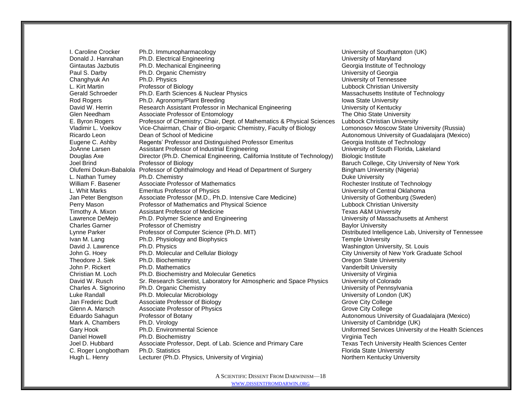I. Caroline Crocker Ph.D. Immunopharmacology Number 2008 10 Number 2012 University of Southampton (UK) Donald J. Hanrahan Ph.D. Electrical Engineering University of Maryland University of Maryland Gintautas Jazbutis Ph.D. Mechanical Engineering Channel Communical Georgia Institute of Technology Paul S. Darby **Ph.D. Organic Chemistry Community** Paul S. Darby University of Georgia Changhyuk An Ph.D. Physics University of Tennessee L. Kirt Martin **Professor of Biology** Lubbock Christian University **Lubbock Christian University** Gerald Schroeder Ph.D. Earth Sciences & Nuclear Physics Massachusetts Institute of Technology Rod Rogers **Ph.D. Agronomy/Plant Breeding Intervention** Intervention Intervention Iowa State University David W. Herrin **Research Assistant Professor in Mechanical Engineering** University of Kentucky Glen Needham Associate Professor of Entomology **The Ohio State University** Clen Needham **The Ohio State University** E. Byron Rogers Professor of Chemistry; Chair, Dept. of Mathematics & Physical Sciences Lubbock Christian University Vladimir L. Voeikov Vice-Chairman, Chair of Bio-organic Chemistry, Faculty of Biology Lomonosov Moscow State University (Russia) Ricardo Leon **Dean of School of Medicine** Autonomous University of Guadalajara (Mexico) Eugene C. Ashby Regents' Professor and Distinguished Professor Emeritus Georgia Institute of Technology JoAnne Larsen **Assistant Professor of Industrial Engineering** Communiculary University of South Florida, Lakeland Douglas Axe Director (Ph.D. Chemical Engineering, California Institute of Technology) Biologic Institute Joel Brind Professor of Biology **Baruch College, City University of New York** Baruch College, City University of New York Olufemi Dokun-Babalola Professor of Ophthalmology and Head of Department of Surgery Bingham University (Nigeria) L. Nathan Tumey Ph.D. Chemistry **Ph.D. Chemistry** Duke University **Duke University** William F. Basener Associate Professor of Mathematics **Rochester Institute of Technology** L. Whit Marks **Emeritus Professor of Physics** Christian Marketter Christian Muniversity of Central Oklahoma Jan Peter Bengtson Associate Professor (M.D., Ph.D. Intensive Care Medicine) University of Gothenburg (Sweden) Perry Mason **Professor of Mathematics and Physical Science Lubbock Christian University** Timothy A. Mixon Assistant Professor of Medicine Texas A&M University Lawrence DeMejo Ph.D. Polymer Science and Engineering University of Massachusetts at Amherst Charles Garner **Professor of Chemistry** Charles Garner Baylor University<br>
Lynne Parker Professor of Computer Science (Ph.D. MIT) **Baylor University** Distributed Intellic Lynne Parker Professor of Computer Science (Ph.D. MIT) Distributed Intelligence Lab, University of Tennessee Ivan M. Lang **Ph.D. Physiology and Biophysics** Temple University **Temple University** David J. Lawrence Ph.D. Physics **Washington University, St. Louis** Washington University, St. Louis John G. Hoey **Ph.D. Molecular and Cellular Biology** Company City University of New York Graduate School Theodore J. Siek Ph.D. Biochemistry **Contained According to the Container State University** Oregon State University John P. Rickert Ph.D. Mathematics **Vanderbilt University** Vanderbilt University Christian M. Loch Ph.D. Biochemistry and Molecular Genetics Christian M. Loch Virginia David W. Rusch Sr. Research Scientist, Laboratory for Atmospheric and Space Physics University of Colorado Charles A. Signorino Ph.D. Organic Chemistry Charles A. Signorino Ph.D. Organic Chemistry Charles Charles Charles Charles Charles Charles Charles Charles Charles Charles Charles Charles Charles Charles Charles Charles Char Luke Randall Ph.D. Molecular Microbiology University of London (UK) Jan Frederic Dudt Associate Professor of Biology Grove City College Grove City College Glenn A. Marsch **Associate Professor of Physics** Grove City College Grove City College Eduardo Sahagun Professor of Botany **Autonomous University of Guadalajara** (Mexico) Mark A. Chambers Ph.D. Virology Chambers Ph.D. Virology Chambers Ph.D. Virology Chambers Ph.D. Virology Chambers Ph.D. Virology Chambers Ph.D. Virology Chambers Ph.D. Virology Chambers Ph.D. Virology Chambers Ph.D. Virolog Gary Hook **Ph.D. Environmental Science Bridge Uniformed Services University of the Health Sciences** Daniel Howell **Ph.D. Biochemistry Ph.D. Biochemistry** Virginia Tech Joel D. Hubbard Associate Professor, Dept. of Lab. Science and Primary Care Texas Tech University Health Sciences Center C. Roger Longbotham Ph.D. Statistics Florida State University Florida State University Hugh L. Henry **Lecturer (Ph.D. Physics, University of Virginia)** Northern Kentucky University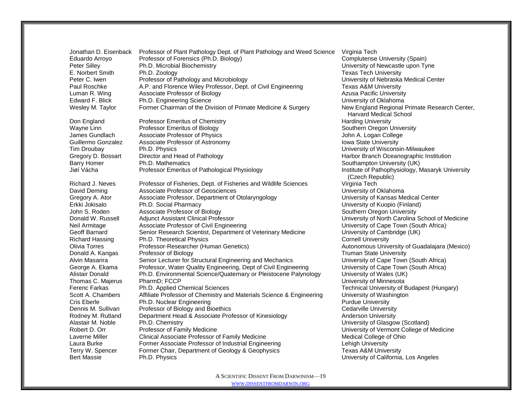Jonathan D. Eisenback Professor of Plant Pathology Dept. of Plant Pathology and Weed Science Virginia Tech Eduardo Arroyo Professor of Forensics (Ph.D. Biology) Complutense University (Spain) Peter Silley Ph.D. Microbial Biochemistry University of Newcastle upon Tyne E. Norbert Smith Ph.D. Zoology<br>Peter C. Iwen Professor of Pathology and Microbiology Network Channel Burkersity of Nebraska Medical Center Peter C. Iwen Professor of Pathology and Microbiology Paul Roschke A.P. and Florence Wiley Professor, Dept. of Civil Engineering Texas A&M University Luman R. Wing **Associate Professor of Biology Azusa Pacific University Azusa Pacific University** Edward F. Blick **Ph.D. Engineering Science Edward F. Blick** University of Oklahoma Wesley M. Taylor Former Chairman of the Division of Primate Medicine & Surgery New England Regional Primate Research Center,

Don England Professor Emeritus of Chemistry **Harding University** Harding University Wayne Linn **Professor Emeritus of Biology** Southern Oregon University **Southern Oregon University** James Gundlach and Associate Professor of Physics<br>
Guillermo Gonzalez Associate Professor of Astronomy and Accordinate and Accordinate University Guillermo Gonzalez Associate Professor of Astronomy Tim Droubay Ph.D. Physics University of Wisconsin-Milwaukee Gregory D. Bossart Director and Head of Pathology **Harbor Branch Oceanographic Institution** Barry Homer **Ph.D. Mathematics** Southampton University (UK) Jiøí Vácha Professor Emeritus of Pathological Physiology Institute of Pathophysiology, Masaryk University

Richard J. Neves Professor of Fisheries, Dept. of Fisheries and Wildlife Sciences Virginia Tech<br>David Deming Passociate Professor of Geosciences David Deming **Associate Professor of Geosciences** Gregory A. Ator **Associate Professor, Department of Otolaryngology The Channel Content Content Center** Contenter Erkki Jokisalo Ph.D. Social Pharmacy University of Kuopio (Finland) John S. Roden **Associate Professor of Biology** Southern Oregon University Communication Communication Communication Donald W. Russell Adjunct Assistant Clinical Professor Communical Professor University of North Carolina School of Medicine Neil Armitage **Associate Professor of Civil Engineering** Version Metal Christens and Countersity of Cape Town (South Africa) Geoff Barnard Senior Research Scientist, Department of Veterinary Medicine University of Cambridge (UK) Richard Hassing Ph.D. Theoretical Physics Cornell University Cornell University Olivia Torres **Professor-Researcher (Human Genetics)** Autonomous University of Guadalajara (Mexico) Donald A. Kangas Professor of Biology **Network Constructs and Constructs** Truman State University Alvin Masarira Senior Lecturer for Structural Engineering and Mechanics University of Cape Town (South Africa)<br>George A. Ekama Professor, Water Quality Engineering, Dept of Civil Engineering University of Cape Town (South George A. Ekama Professor, Water Quality Engineering, Dept of Civil Engineering Alistair Donald Ph.D. Environmental Science/Quaternary or Pleistocene Palynology University of Wales (UK) Thomas C. Majerus PharmD; FCCP CONSERVITY OF CONSERVITY OF MINNESS University of Minnesota Ferenc Farkas Ph.D. Applied Chemical Sciences Technical Sciences Technical University of Budapest (Hungary) Scott A. Chambers Affiliate Professor of Chemistry and Materials Science & Engineering University of Washington Cris Eberle **Ph.D. Nuclear Engineering Purdue University** Purdue University Dennis M. Sullivan Professor of Biology and Bioethics Christian Cedarville University Rodney M. Rutland Department Head & Associate Professor of Kinesiology **Anderson University** Alastair M. Noble Ph.D. Chemistry University of Glasgow (Scotland) Robert D. Orr **Professor of Family Medicine** University of Vermont College of Medicine Laverne Miller Clinical Associate Professor of Family Medicine Medical College of Ohio Laura Burke Former Associate Professor of Industrial Engineering Lehigh University Terry W. Spencer Former Chair, Department of Geology & Geophysics Texas A&M University Bert Massie **Example 20 Ph.D. Physics Ph.D. Physics Ph.D. Physics University of California, Los Angeles** 

Harvard Medical School (Czech Republic)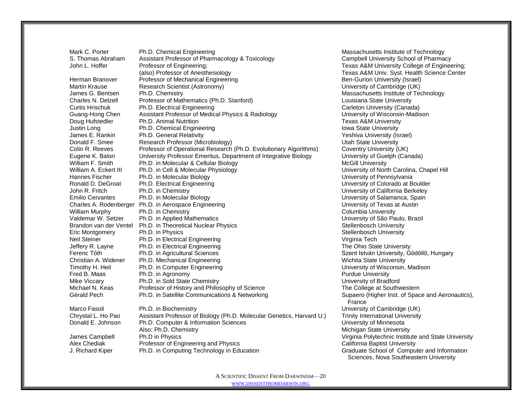Mark C. Porter Ph.D. Chemical Engineering Massachusetts Institute of Technology S. Thomas Abraham Assistant Professor of Pharmacology & Toxicology Campbell University School of Pharmacy John L. Hoffer **Professor of Engineering**; Texas A&M University College of Engineering; (also) Professor of Anesthesiology Texas A&M Univ. Syst. Health Science Center Herman Branover **Professor of Mechanical Engineering** Ben-Gurion University (Israel) Martin Krause **Research Scientist (Astronomy)** Martin Krause University of Cambridge (UK) James G. Bentsen Ph.D. Chemistry Chamber 2001 12:30 and 2008 12:30 Massachusetts Institute of Technology Charles N. Delzell Professor of Mathematics (Ph.D. Stanford) Louisiana State University Curtis Hrischuk Ph.D. Electrical Engineering Carleton Carleton University (Canada) Guang-Hong Chen Assistant Professor of Medical Physics & Radiology Cuang-Hong University of Wisconsin-Madison Doug Hufstedler **Ph.D. Animal Nutrition Ph.D. Animal Nutrition Ph.D. Animal Nutrition Texas A&M University** Justin Long **Ph.D.** Chemical Engineering **Iowa State University** Iowa State University James E. Rankin Ph.D. General Relativity (Interval and The Meshiva University (Israel)<br>
Donald F. Smee Research Professor (Microbiology) Contract Contract University (Israel) Research Professor (Microbiology) Network Channel Burge Research Professor (Microbiology) Colin R. Reeves Professor of Operational Research (Ph.D. Evolutionary Algorithms) Coventry University (UK) Eugene K. Balon University Professor Emeritus, Department of Integrative Biology University of Guelph (Canada) William F. Smith Ph.D. in Molecular & Cellular Biology **McGill University** McGill University William A. Eckert III Ph.D. in Cell & Molecular Physiology **No. 1998** University of North Carolina, Chapel Hill Hannes Fischer Ph.D. in Molecular Biology North Communication Christian University of Pennsylvania Ronald D. DeGroat Ph.D. Electrical Engineering Channel Controller Controller Colorado at Boulder John R. Fritch Ph.D. in Chemistry University of California Berkeley Emilio Cervantes Ph.D. in Molecular Biology **Network Contract Contract Contract Contract Contract Contract Contract Contract Contract Contract Contract Contract Contract Contract Contract Contract Contract Contract Contrac** Charles A. Rodenberger Ph.D. in Aerospace Engineering University of Texas at Austin William Murphy Ph.D. in Chemistry Columbia University Columbia University Valdemar W. Setzer Ph.D. in Applied Mathematics University of São Paulo, Brazil Brandon van der Ventel Ph.D. in Theoretical Nuclear Physics Stellenbosch University Stellenbosch University Eric Montgomery **Ph.D.** in Physics **No. 2018 Physics** Stellenbosch University Neil Steiner **Ph.D.** in Electrical Engineering Virginia Tech Virginia Tech Jeffery R. Layne **Ph.D.** in Electrical Engineering The Ohio State University **The Ohio State University** Ferenc Tóth **Ph.D. in Agricultural Sciences** Szent István University, Gödöllő, Hungary Szent István University, Gödöllő, Hungary Christian A. Widener Ph.D. Mechanical Engineering Number 2012 1991 Wichita State University Timothy H. Heil Ph.D. in Computer Engineering University of Wisconsin, Madison Fred B. Maas **Ph.D.** in Agronomy **Purdue University** Purdue University Mike Viccary Ph.D. in Sold State Chemistry University of Bradford Michael N. Keas Professor of History and Philosophy of Science The The College at Southwestern Gérald Pech Ph.D. in Satellite Communications & Networking Supaero (Higher Inst. of Space and Aeronautics), Marco Fasoli **Ph.D.** in Biochemistry **Network Cambridge (UK)** University of Cambridge (UK) Chrystal L. Ho Pao Assistant Professor of Biology (Ph.D. Molecular Genetics, Harvard U.) Trinity International University Donald E. Johnson Ph.D. Computer & Information Sciences Computer States Consumersity of Minnesota Also: Ph.D. Chemistry **Michigan State University** Michigan State University James Campbell Ph.D in Physics Virginia Polytechnic Institute and State University Alex Chediak **Professor of Engineering and Physics Network California Baptist University** 

France J. Richard Kiper Ph.D. in Computing Technology in Education Graduate School of Computer and Information Sciences, Nova Southeastern University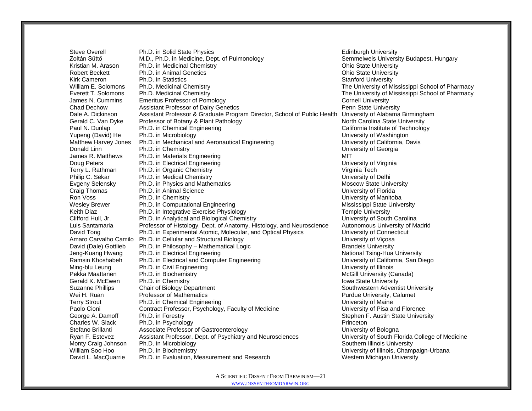Steve Overell **Ph.D.** in Solid State Physics **Edinburgh University** Edinburgh University Zoltán Süttő **M.D., Ph.D. in Medicine, Dept. of Pulmonology** Semmelweis University Budapest, Hungary Kristian M. Arason Ph.D. in Medicinal Chemistry **Channel Chemistry China Chemistry** Ohio State University Robert Beckett **Ph.D.** in Animal Genetics **Chinage Community** Ohio State University Kirk Cameron **Ph.D.** in Statistics **Network Cameron** Stanford University William E. Solomons Ph.D. Medicinal Chemistry The University of Mississippi School of Pharmacy Everett T. Solomons Ph.D. Medicinal Chemistry The University of Mississippi School of Pharmacy James N. Cummins Emeritus Professor of Pomology<br>
Chad Dechow Chasistant Professor of Dairy Genetics<br>
Chad Dechow Chang Assistant Professor of Dairy Genetics Chad Dechow **Assistant Professor of Dairy Genetics** Chad Dechow Penn State University<br>Dale A. Dickinson **Assistant Professor & Graduate Program Director**, School of Public Health University of Alabama Birmingham Dale A. Dickinson Assistant Professor & Graduate Program Director, School of Public Health Gerald C. Van Dyke Professor of Botany & Plant Pathology North Carolina State University Paul N. Dunlap Ph.D. in Chemical Engineering California Institute of Technology Yupeng (David) He Ph.D. in Microbiology<br>
Matthew Harvey Jones Ph.D. in Mechanical and Aeronautical Engineering The Contest Muniversity of California, Davis Ph.D. in Mechanical and Aeronautical Engineering Donald Linn **Ph.D.** in Chemistry **Ph.D.** in Chemistry Chemistry Chemistry Chemistry of Georgia<br>
Donald Linn **Ph.D.** in Materials Engineering **Ph.D.** in Materials Engineering **Ph.D.** in Materials Engineering **Ph.D.** in Mate Ph.D. in Materials Engineering MIT Doug Peters **Ph.D.** in Electrical Engineering **Ph.D.** in Electrical Engineering **Phenomenon** Ph.D. in Electrical Engineering Terry L. Rathman Ph.D. in Organic Chemistry Virginia Tech Virginia Tech Philip C. Sekar Ph.D. in Medical Chemistry Changes and Chemistry Chemistry Chemistry Chemistry Philip Philip Delhi Evgeny Selensky Ph.D. in Physics and Mathematics **Moscow State University** Moscow State University Craig Thomas **Ph.D.** in Animal Science **Network** Craig Thomas **University of Florida** Ron Voss **Ph.D.** in Chemistry **Ph.D.** in Chemistry **Ph.D.** in Chemistry **Ph.D.** in Chemistry **Example 2018** Wesley Brewer **Ph.D.** in Computational Engineering Mississippi State University Keith Diaz **Ph.D.** in Integrative Exercise Physiology **Temple University** Temple University Clifford Hull, Jr. **Ph.D.** in Analytical and Biological Chemistry **Network Channel Clifford Hull**, Jr. **Ph.D.** in Analytical and Biological Chemistry **Network Clifford Carolina** Luis Santamaria Professor of Histology, Dept. of Anatomy, Histology, and Neuroscience Autonomous University of Madrid David Tong Ph.D. in Experimental Atomic, Molecular, and Optical Physics University of Connecticut Amaro Carvalho Camilo Ph.D. in Cellular and Structural Biology New York Controllery Numbersity of Vicosa David (Dale) Gottlieb Ph.D. in Philosophy – Mathematical Logic entity of the Standeis University<br>
Dena-Kuana Hwang Ph.D. in Electrical Engineering but also be a stational Tsing-Hua Jeng-Kuang Hwang Ph.D. in Electrical Engineering entity and the Mational Tsing-Hua University<br>
Ph.D. in Electrical and Computer Engineering Computer Suppose the University of California. San Di Ph.D. in Electrical and Computer Engineering The Computer Engineering University of California, San Diego Ming-blu Leung Ph.D. in Civil Engineering Number 2012 10:30 Number 2013 10:40 University of Illinois Pekka Maattanen Ph.D. in Biochemistry McGill University (Canada) and McGill University (Canada) Gerald K. McEwen Ph.D. in Chemistry **Iowa State University** Iowa State University Suzanne Phillips Chair of Biology Department Southwestern Adventist University Chair Chair of Biology Department Wei H. Ruan **Professor of Mathematics** Purdue University, Calumet Purdue University, Calumet Terry Strout Ph.D. in Chemical Engineering University of Maine Paolo Cioni Contract Professor, Psychology, Faculty of Medicine University of Pisa and Florence George A. Damoff Ph.D. in Forestry Stephen F. Austin State University Stephen F. Austin State University Charles W. Slack Ph.D. in Psychology<br>
Stefano Brillanti Associate Professor of Gastroenterology Charles Charles Chiversity of Bologna Stefano Brillanti Associate Professor of Gastroenterology Ryan F. Estevez Assistant Professor, Dept. of Psychiatry and Neurosciences University of South Florida College of Medicine Monty Craig Johnson Ph.D. in Microbiology **Southern Illinois University** Southern Illinois University<br>
William Soo Hoo Ph.D. in Biochemistry **Southern Illinois Champ** Ph.D. in Biochemistry **Network** Champaign-Urbana **Champaign-Urbana** University of Illinois, Champaign-Urbana David L. MacQuarrie Ph.D. in Evaluation, Measurement and Research Western Michigan University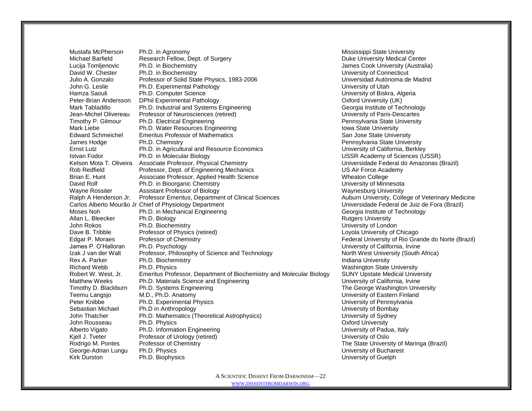Mustafa McPherson Ph.D. in Agronomy **Mississippi State University** Mississippi State University Michael Barfield Research Fellow, Dept. of Surgery Number 2012 19:30 Duke University Medical Center Lucija Tomljenovic Ph.D. in Biochemistry **Material Cooking the Cook University (Australia)** James Cook University (Australia) David W. Chester Ph.D. in Biochemistry<br>David W. Chester Ph.D. in Biochemistry Chester Physics. 1983-2006 Connecticut Universidad Autónoma de Madrid C Julio A. Gonzalo Professor of Solid State Physics, 1983-2006 John G. Leslie **Ph.D. Experimental Pathology Communisty Communisty Communisty of Utah** Hamza Saouli **Ph.D. Computer Science** Computer Science Computer Science Computer Science Computer Science Computer Science Computer Science Computer Science Computer Science Computer Science Computer Science Computer Scien Peter-Brian Andersson DPhil Experimental Pathology Communication Control Control Oxford University (UK) Mark Tabladillo **Ph.D. Industrial and Systems Engineering** Computer Controllering Georgia Institute of Technology Jean-Michel Olivereau Professor of Neurosciences (retired) University of Paris-Descartes Timothy P. Gilmour Ph.D. Electrical Engineering Pennsylvania State University Mark Liebe **Ph.D. Water Resources Engineering**<br>
Edward Schmeichel Emeritus Professor of Mathematics **Interpretent Control of State University**<br>
San Jose State Unive Emeritus Professor of Mathematics San Jose State University San Jose State University James Hodge Ph.D. Chemistry Pennsylvania State University Ernst Lutz Ph.D. in Agricultural and Resource Economics University of California, Berkley Istvan Fodor Ph.D. in Molecular Biology USSR Academy of Sciences (USSR) Kelson Mota T. Oliveira Associate Professor, Physical Chemistry Wallett Chemistry Universidade Federal do Amazonas (Brazil) Rob Redfield Professor, Dept. of Engineering Mechanics US Air Force Academy Brian E. Hunt **Associate Professor, Applied Health Science** Manusch Meaton College David Rolf **Ph.D.** in Bioorganic Chemistry **Ph.D.** in Bioorganic Chemistry **Ph.D.** in Bioorganic Chemistry **Ph.D.** in Bioorganic Chemistry **Ph.D.** in Bioorganic Chemistry **Ph.D.** in Bioorganic Chemistry **Ph.D.** is a struct Wayne Rossiter **Mate Assistant Professor of Biology** Waynesburg University Waynesburg University<br>
Ralph A Henderson Jr. Professor Emeritus, Department of Clinical Sciences **Mate Auxiliary College of Veterinary Medicine** Ralph A Henderson Jr. Professor Emeritus, Department of Clinical Sciences Carlos Alberto Mourão Jr Chief of Physiology Department Vertain Alberto Carlos Alberto Mourão Jr Chief of Physiology Department Moses Noh **Ph.D.** in Mechanical Engineering Communical Georgia Institute of Technology Allan L. Bleecker **Ph.D. Biology Rutgers University Rutgers University** John Rokos Ph.D. Biochemistry University of London Dave B. Tribble Professor of Physics (retired) Dave B. Tribble Loyola University of Chicago Edgar P. Moraes Professor of Chemistry **Federal University of Rio Grande do Norte (Brazil)** Federal University of Rio Grande do Norte (Brazil) James P. O'Halloran Ph.D. Psychology University of California, Irvine Izak J van der Walt Professor, Philosophy of Science and Technology North West University (South Africa) Rex A. Parker **Ph.D. Biochemistry Indiana University** Indiana University Richard Webb Ph.D. Physics **Ph.D. Physics** Washington State University Robert W. West, Jr. Emeritus Professor, Department of Biochemistry and Molecular Biology SUNY Upstate Medical University Matthew Weeks Ph.D. Materials Science and Engineering University of California, Irvine Timothy D. Blackburn Ph.D. Systems Engineering The George Washington University Teemu Langsjo M.D., Ph.D. Anatomy University of Eastern Finland Peter Knibbe Ph.D. Experimental Physics **Ph.D. Experimental Physics** Company Physics University of Pennsylvania Sebastian Michael Ph.D in Anthropology University of Bombay John Thatcher Ph.D. Mathematics (Theoretical Astrophysics) University of Sydney John Rousseau Ph.D. Physics **Community** Community Community Community Community Community Community Community Community Community Community Community Community Community Community Community Community Community Community Co Alberto Vigato **Ph.D.** Information Engineering **Network Constructs** University of Padua, Italy Kjell J. Tveter Professor of Urology (retired) University of Oslo Rodrigo M. Pontes Professor of Chemistry The State University of Maringa (Brazil) George-Adrian Lungu Ph.D. Physics Chronic Communication Control of Bucharest Chronic Chronic Chronic Chronic Chronic Chronic Chronic Chronic Chronic Chronic Chronic Chronic Chronic Chronic Chronic Chronic Chronic Chronic C Kirk Durston **Ph.D. Biophysics Ph.D. Biophysics Example 2018** 2019 12:30 Million Philosophysics **University of Guelph**